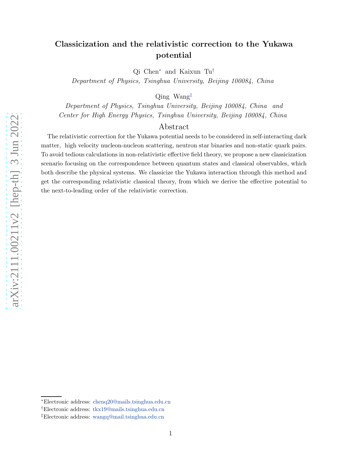# Classicization and the relativistic correction to the Yukawa potential

Qi Chen [∗](#page-0-0) and Kaixun Tu [†](#page-0-1)

Department of Physics, Tsinghua University, Beijing 100084, China

Qing Wang [‡](#page-0-2)

Department of Physics, Tsinghua University, Beijing 100084, China and Center for High Energy Physics, Tsinghua University, Beijing 100084, China

# Abstract

The relativistic correction for the Yukawa potential needs to be considered in self-interacting dark matter, high velocity nucleon-nucleon scattering, neutron star binaries and non-static quark pairs. To avoid tedious calculations in non-relativistic effective field theory, we propose a new classicization scenario focusing on the correspondence between quantum states and classical observables, which both describe the physical systems. We classicize the Yukawa interaction through this method and get the corresponding relativistic classical theory, from which we derive the effective potential to the next-to-leading order of the relativistic correction.

<span id="page-0-0"></span><sup>∗</sup>Electronic address: [chenq20@mails.tsinghua.edu.cn](mailto:chenq20@mails.tsinghua.edu.cn)

<span id="page-0-1"></span><sup>†</sup>Electronic address: [tkx19@mails.tsinghua.edu.cn](mailto:tkx19@mails.tsinghua.edu.cn)

<span id="page-0-2"></span><sup>‡</sup>Electronic address: [wangq@mail.tsinghua.edu.cn](mailto:wangq@mail.tsinghua.edu.cn)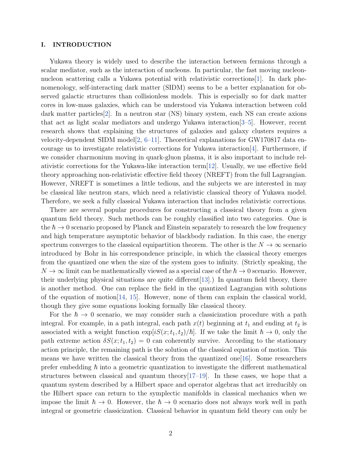## I. INTRODUCTION

Yukawa theory is widely used to describe the interaction between fermions through a scalar mediator, such as the interaction of nucleons. In particular, the fast moving nucleonnucleon scattering calls a Yukawa potential with relativistic corrections[\[1](#page-22-0)]. In dark phenomenology, self-interacting dark matter (SIDM) seems to be a better explanation for observed galactic structures than collisionless models. This is especially so for dark matter cores in low-mass galaxies, which can be understood via Yukawa interaction between cold dark matter particles[\[2](#page-22-1)]. In a neutron star (NS) binary system, each NS can create axions that act as light scalar mediators and undergo Yukawa interaction[\[3](#page-22-2)[–5](#page-22-3)]. However, recent research shows that explaining the structures of galaxies and galaxy clusters requires a velocity-dependent SIDM model<sup>[\[2](#page-22-1), [6](#page-22-4)[–11\]](#page-22-5)</sup>. Theoretical explanations for GW170817 data encourage us to investigate relativistic corrections for Yukawa interaction[\[4](#page-22-6)]. Furthermore, if we consider charmonium moving in quark-gluon plasma, it is also important to include relativistic corrections for the Yukawa-like interaction term[\[12](#page-22-7)]. Usually, we use effective field theory approaching non-relativistic effective field theory (NREFT) from the full Lagrangian. However, NREFT is sometimes a little tedious, and the subjects we are interested in may be classical like neutron stars, which need a relativistic classical theory of Yukawa model. Therefore, we seek a fully classical Yukawa interaction that includes relativistic corrections.

There are several popular procedures for constructing a classical theory from a given quantum field theory. Such methods can be roughly classified into two categories. One is the  $\hbar \to 0$  scenario proposed by Planck and Einstein separately to research the low frequency and high temperature asymptotic behavior of blackbody radiation. In this case, the energy spectrum converges to the classical equipartition theorem. The other is the  $N \to \infty$  scenario introduced by Bohr in his correspondence principle, in which the classical theory emerges from the quantized one when the size of the system goes to infinity. (Strictly speaking, the  $N \to \infty$  limit can be mathematically viewed as a special case of the  $\hbar \to 0$  scenario. However, their underlying physical situations are quite different[\[13](#page-22-8)].) In quantum field theory, there is another method. One can replace the field in the quantized Lagrangian with solutions of the equation of motion[\[14,](#page-23-0) [15](#page-23-1)]. However, none of them can explain the classical world, though they give some equations looking formally like classical theory.

For the  $\hbar \to 0$  scenario, we may consider such a classicization procedure with a path integral. For example, in a path integral, each path  $x(t)$  beginning at  $t_1$  and ending at  $t_2$  is associated with a weight function  $\exp[iS(x; t_1, t_2)/\hbar]$ . If we take the limit  $\hbar \to 0$ , only the path extreme action  $\delta S(x; t_1, t_2) = 0$  can coherently survive. According to the stationary action principle, the remaining path is the solution of the classical equation of motion. This means we have written the classical theory from the quantized one  $[16]$  $[16]$ . Some researchers prefer embedding  $\hbar$  into a geometric quantization to investigate the different mathematical structures between classical and quantum theory  $[17-19]$  $[17-19]$ . In these cases, we hope that a quantum system described by a Hilbert space and operator algebras that act irreducibly on the Hilbert space can return to the symplectic manifolds in classical mechanics when we impose the limit  $\hbar \to 0$ . However, the  $\hbar \to 0$  scenario does not always work well in path integral or geometric classicization. Classical behavior in quantum field theory can only be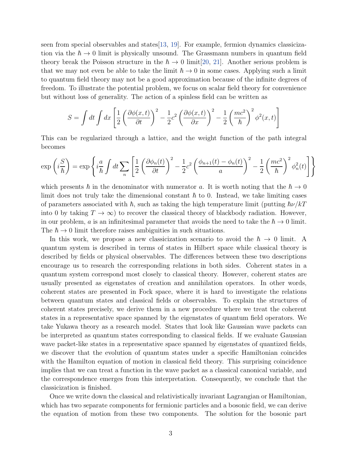seen from special observables and states[\[13](#page-22-8), [19](#page-23-4)]. For example, fermion dynamics classicization via the  $\hbar \to 0$  limit is physically unsound. The Grassmann numbers in quantum field theory break the Poisson structure in the  $\hbar \to 0$  limit[\[20,](#page-23-5) [21\]](#page-23-6). Another serious problem is that we may not even be able to take the limit  $\hbar \to 0$  in some cases. Applying such a limit to quantum field theory may not be a good approximation because of the infinite degrees of freedom. To illustrate the potential problem, we focus on scalar field theory for convenience but without loss of generality. The action of a spinless field can be written as

$$
S = \int dt \int dx \left[ \frac{1}{2} \left( \frac{\partial \phi(x, t)}{\partial t} \right)^2 - \frac{1}{2} c^2 \left( \frac{\partial \phi(x, t)}{\partial x} \right)^2 - \frac{1}{2} \left( \frac{mc^2}{\hbar} \right)^2 \phi^2(x, t) \right]
$$

This can be regularized through a lattice, and the weight function of the path integral becomes

$$
\exp\left(i\frac{S}{\hbar}\right) = \exp\left\{i\frac{a}{\hbar}\int dt \sum_{n} \left[\frac{1}{2}\left(\frac{\partial\phi_n(t)}{\partial t}\right)^2 - \frac{1}{2}c^2\left(\frac{\phi_{n+1}(t) - \phi_n(t)}{a}\right)^2 - \frac{1}{2}\left(\frac{mc^2}{\hbar}\right)^2\phi_n^2(t)\right]\right\}
$$

which presents  $\hbar$  in the denominator with numerator a. It is worth noting that the  $\hbar \to 0$ limit does not truly take the dimensional constant  $\hbar$  to 0. Instead, we take limiting cases of parameters associated with  $\hbar$ , such as taking the high temperature limit (putting  $\hbar \nu /kT$ into 0 by taking  $T \to \infty$ ) to recover the classical theory of blackbody radiation. However, in our problem, a is an infinitesimal parameter that avoids the need to take the  $\hbar \to 0$  limit. The  $\hbar \rightarrow 0$  limit therefore raises ambiguities in such situations.

In this work, we propose a new classicization scenario to avoid the  $\hbar \to 0$  limit. A quantum system is described in terms of states in Hilbert space while classical theory is described by fields or physical observables. The differences between these two descriptions encourage us to research the corresponding relations in both sides. Coherent states in a quantum system correspond most closely to classical theory. However, coherent states are usually presented as eigenstates of creation and annihilation operators. In other words, coherent states are presented in Fock space, where it is hard to investigate the relations between quantum states and classical fields or observables. To explain the structures of coherent states precisely, we derive them in a new procedure where we treat the coherent states in a representative space spanned by the eigenstates of quantum field operators. We take Yukawa theory as a research model. States that look like Gaussian wave packets can be interpreted as quantum states corresponding to classical fields. If we evaluate Gaussian wave packet-like states in a representative space spanned by eigenstates of quantized fields, we discover that the evolution of quantum states under a specific Hamiltonian coincides with the Hamilton equation of motion in classical field theory. This surprising coincidence implies that we can treat a function in the wave packet as a classical canonical variable, and the correspondence emerges from this interpretation. Consequently, we conclude that the classicization is finished.

Once we write down the classical and relativistically invariant Lagrangian or Hamiltonian, which has two separate components for fermionic particles and a bosonic field, we can derive the equation of motion from these two components. The solution for the bosonic part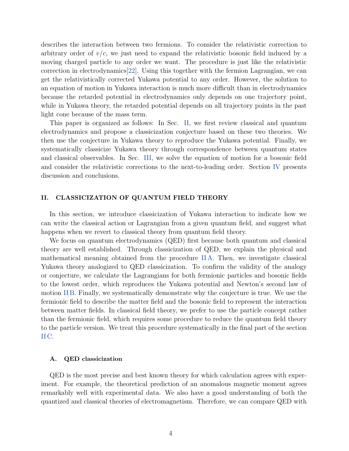describes the interaction between two fermions. To consider the relativistic correction to arbitrary order of  $v/c$ , we just need to expand the relativistic bosonic field induced by a moving charged particle to any order we want. The procedure is just like the relativistic correction in electrodynamics[\[22](#page-23-7)]. Using this together with the fermion Lagrangian, we can get the relativistically corrected Yukawa potential to any order. However, the solution to an equation of motion in Yukawa interaction is much more difficult than in electrodynamics because the retarded potential in electrodynamics only depends on one trajectory point, while in Yukawa theory, the retarded potential depends on all trajectory points in the past light cone because of the mass term.

This paper is organized as follows: In Sec. [II,](#page-3-0) we first review classical and quantum electrodynamics and propose a classicization conjecture based on these two theories. We then use the conjecture in Yukawa theory to reproduce the Yukawa potential. Finally, we systematically classicize Yukawa theory through correspondence between quantum states and classical observables. In Sec. [III,](#page-13-0) we solve the equation of motion for a bosonic field and consider the relativistic corrections to the next-to-leading order. Section [IV](#page-15-0) presents discussion and conclusions.

## <span id="page-3-0"></span>II. CLASSICIZATION OF QUANTUM FIELD THEORY

In this section, we introduce classicization of Yukawa interaction to indicate how we can write the classical action or Lagrangian from a given quantum field, and suggest what happens when we revert to classical theory from quantum field theory.

We focus on quantum electrodynamics (QED) first because both quantum and classical theory are well established. Through classicization of QED, we explain the physical and mathematical meaning obtained from the procedure [II A.](#page-3-1) Then, we investigate classical Yukawa theory analogized to QED classicization. To confirm the validity of the analogy or conjecture, we calculate the Lagrangians for both fermionic particles and bosonic fields to the lowest order, which reproduces the Yukawa potential and Newton's second law of motion [II B.](#page-5-0) Finally, we systematically demonstrate why the conjecture is true. We use the fermionic field to describe the matter field and the bosonic field to represent the interaction between matter fields. In classical field theory, we prefer to use the particle concept rather than the fermionic field, which requires some procedure to reduce the quantum field theory to the particle version. We treat this procedure systematically in the final part of the section [II C.](#page-7-0)

### <span id="page-3-1"></span>A. QED classicization

QED is the most precise and best known theory for which calculation agrees with experiment. For example, the theoretical prediction of an anomalous magnetic moment agrees remarkably well with experimental data. We also have a good understanding of both the quantized and classical theories of electromagnetism. Therefore, we can compare QED with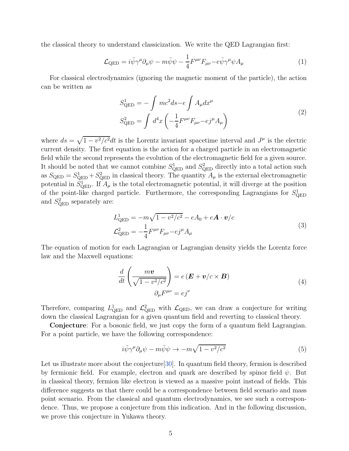the classical theory to understand classicization. We write the QED Lagrangian first:

$$
\mathcal{L}_{\text{QED}} = i\bar{\psi}\gamma^{\mu}\partial_{\mu}\psi - m\bar{\psi}\psi - \frac{1}{4}F^{\mu\nu}F_{\mu\nu} - e\bar{\psi}\gamma^{\mu}\psi A_{\mu}
$$
\n(1)

For classical electrodynamics (ignoring the magnetic moment of the particle), the action can be written as

$$
S_{\text{QED}}^1 = -\int mc^2 ds - e \int A_\mu dx^\mu
$$
  

$$
S_{\text{QED}}^2 = \int d^4x \left( -\frac{1}{4} F^{\mu\nu} F_{\mu\nu} - e j^\mu A_\mu \right)
$$
 (2)

where  $ds = \sqrt{1 - v^2/c^2} dt$  is the Lorentz invariant spacetime interval and  $J^{\mu}$  is the electric current density. The first equation is the action for a charged particle in an electromagnetic field while the second represents the evolution of the electromagnetic field for a given source. It should be noted that we cannot combine  $S_{\text{QED}}^1$  and  $S_{\text{QED}}^2$  directly into a total action such as  $S_{\text{QED}} = S_{\text{QED}}^1 + S_{\text{QED}}^2$  in classical theory. The quantity  $A_\mu$  is the external electromagnetic potential in  $S^1_{\text{QED}}$ . If  $A_\mu$  is the total electromagnetic potential, it will diverge at the position of the point-like charged particle. Furthermore, the corresponding Lagrangians for  $S_{\text{QED}}^1$ and  $S_{\text{QED}}^2$  separately are:

$$
L_{\text{QED}}^{1} = -m\sqrt{1 - v^{2}/c^{2}} - eA_{0} + e\mathbf{A} \cdot \mathbf{v}/c
$$
  

$$
\mathcal{L}_{\text{QED}}^{2} = -\frac{1}{4}F^{\mu\nu}F_{\mu\nu} - ej^{\mu}A_{\mu}
$$
 (3)

<span id="page-4-0"></span>The equation of motion for each Lagrangian or Lagrangian density yields the Lorentz force law and the Maxwell equations:

$$
\frac{d}{dt}\left(\frac{m\boldsymbol{v}}{\sqrt{1-v^2/c^2}}\right) = e\left(\boldsymbol{E} + \boldsymbol{v}/c \times \boldsymbol{B}\right)
$$
\n
$$
\partial_{\mu}F^{\mu\nu} = ej^{\nu}
$$
\n(4)

Therefore, comparing  $L_{\text{QED}}^1$  and  $\mathcal{L}_{\text{QED}}^2$  with  $\mathcal{L}_{\text{QED}}$ , we can draw a conjecture for writing down the classical Lagrangian for a given quantum field and reverting to classical theory.

Conjecture: For a bosonic field, we just copy the form of a quantum field Lagrangian. For a point particle, we have the following correspondence:

$$
i\bar{\psi}\gamma^{\mu}\partial_{\mu}\psi - m\bar{\psi}\psi \to -m\sqrt{1 - v^2/c^2}
$$
\n(5)

Let us illustrate more about the conjecture [\[30\]](#page-23-8). In quantum field theory, fermion is described by fermionic field. For example, electron and quark are described by spinor field  $\psi$ . But in classical theory, fermion like electron is viewed as a massive point instead of fields. This difference suggests us that there could be a correspondence between field scenario and mass point scenario. From the classical and quantum electrodynamics, we see such a correspondence. Thus, we propose a conjecture from this indication. And in the following discussion, we prove this conjecture in Yukawa theory.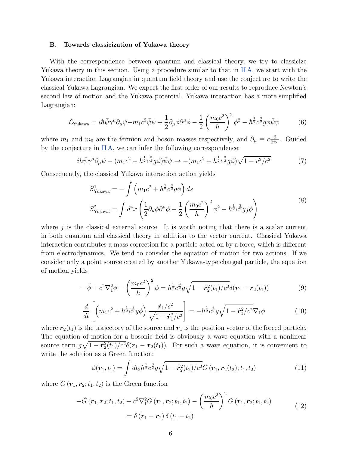#### <span id="page-5-0"></span>B. Towards classicization of Yukawa theory

With the correspondence between quantum and classical theory, we try to classicize Yukawa theory in this section. Using a procedure similar to that in [II A,](#page-3-1) we start with the Yukawa interaction Lagrangian in quantum field theory and use the conjecture to write the classical Yukawa Lagrangian. We expect the first order of our results to reproduce Newton's second law of motion and the Yukawa potential. Yukawa interaction has a more simplified Lagrangian:

$$
\mathcal{L}_{\text{Yukawa}} = i\hbar \bar{\psi} \gamma^{\mu} \partial_{\mu} \psi - m_1 c^2 \bar{\psi} \psi + \frac{1}{2} \partial_{\mu} \phi \partial^{\mu} \phi - \frac{1}{2} \left( \frac{m_0 c^2}{\hbar} \right)^2 \phi^2 - \hbar^{\frac{1}{2}} c^{\frac{3}{2}} g \phi \bar{\psi} \psi
$$
(6)

where  $m_1$  and  $m_0$  are the fermion and boson masses respectively, and  $\partial_\mu \equiv c \frac{\partial}{\partial x^\mu}$ . Guided by the conjecture in [II A,](#page-3-1) we can infer the following correspondence:

$$
i\hbar\bar{\psi}\gamma^{\mu}\partial_{\mu}\psi - (m_1c^2 + \hbar^{\frac{1}{2}}c^{\frac{3}{2}}g\phi)\bar{\psi}\psi \to -(m_1c^2 + \hbar^{\frac{1}{2}}c^{\frac{3}{2}}g\phi)\sqrt{1 - v^2/c^2}
$$
(7)

<span id="page-5-3"></span>Consequently, the classical Yukawa interaction action yields

$$
S_{\text{Yukawa}}^1 = -\int \left( m_1 c^2 + \hbar^{\frac{1}{2}} c^{\frac{3}{2}} g \phi \right) ds
$$
  

$$
S_{\text{Yukawa}}^2 = \int d^4 x \left( \frac{1}{2} \partial_\mu \phi \partial^\mu \phi - \frac{1}{2} \left( \frac{m_0 c^2}{\hbar} \right)^2 \phi^2 - \hbar^{\frac{1}{2}} c^{\frac{3}{2}} g j \phi \right)
$$
 (8)

where  $j$  is the classical external source. It is worth noting that there is a scalar current in both quantum and classical theory in addition to the vector current. Classical Yukawa interaction contributes a mass correction for a particle acted on by a force, which is different from electrodynamics. We tend to consider the equation of motion for two actions. If we consider only a point source created by another Yukawa-type charged particle, the equation of motion yields

$$
-\ddot{\phi} + c^2 \nabla_1^2 \phi - \left(\frac{m_0 c^2}{\hbar}\right)^2 \phi = \hbar^{\frac{1}{2}} c^{\frac{3}{2}} g \sqrt{1 - \dot{r}_2^2(t_1)/c^2} \delta(r_1 - r_2(t_1))
$$
(9)

<span id="page-5-2"></span>
$$
\frac{d}{dt}\left[\left(m_1c^2+\hbar^{\frac{1}{2}}c^{\frac{3}{2}}g\phi\right)\frac{\dot{r}_1/c^2}{\sqrt{1-\dot{r}_1^2/c^2}}\right] = -\hbar^{\frac{1}{2}}c^{\frac{3}{2}}g\sqrt{1-\dot{r}_1^2/c^2}\nabla_1\phi\tag{10}
$$

where  $r_2(t_1)$  is the trajectory of the source and  $r_1$  is the position vector of the forced particle. The equation of motion for a bosonic field is obviously a wave equation with a nonlinear source term  $g\sqrt{1-\dot{r}_2^2(t_1)/c^2}\delta(\dot{r}_1-\dot{r}_2(t_1))$ . For such a wave equation, it is convenient to write the solution as a Green function:

<span id="page-5-1"></span>
$$
\phi(\mathbf{r}_1, t_1) = \int dt_2 \hbar^{\frac{1}{2}} c^{\frac{3}{2}} g \sqrt{1 - \dot{\mathbf{r}}_2^2(t_2)/c^2} G(\mathbf{r}_1, \mathbf{r}_2(t_2); t_1, t_2)
$$
(11)

where  $G(\mathbf{r}_1, \mathbf{r}_2; t_1, t_2)$  is the Green function

$$
-\ddot{G}(\mathbf{r}_{1}, \mathbf{r}_{2}; t_{1}, t_{2}) + c^{2} \nabla_{1}^{2} G(\mathbf{r}_{1}, \mathbf{r}_{2}; t_{1}, t_{2}) - \left(\frac{m_{0}c^{2}}{\hbar}\right)^{2} G(\mathbf{r}_{1}, \mathbf{r}_{2}; t_{1}, t_{2})
$$
  
=  $\delta (\mathbf{r}_{1} - \mathbf{r}_{2}) \delta (t_{1} - t_{2})$  (12)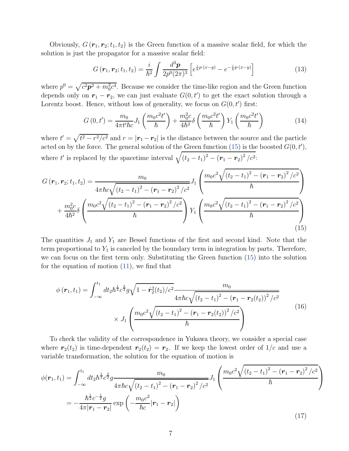Obviously,  $G(\mathbf{r}_1, \mathbf{r}_2; t_1, t_2)$  is the Green function of a massive scalar field, for which the solution is just the propagator for a massive scalar field:

$$
G(\mathbf{r}_1, \mathbf{r}_2; t_1, t_2) = \frac{i}{\hbar^2} \int \frac{d^3 \mathbf{p}}{2p^0 (2\pi)^3} \left[ e^{\frac{i}{\hbar} p \cdot (x-y)} - e^{-\frac{i}{\hbar} p \cdot (x-y)} \right]
$$
(13)

where  $p^0 = \sqrt{c^2 p^2 + m_0^2 c^4}$ . Because we consider the time-like region and the Green function depends only on  $r_1 - r_2$ , we can just evaluate  $G(0, t')$  to get the exact solution through a Lorentz boost. Hence, without loss of generality, we focus on  $G(0, t')$  first:

$$
G(0,t') = \frac{m_0}{4\pi t' \hbar c} J_1\left(\frac{m_0 c^2 t'}{\hbar}\right) + \frac{m_0^2 c}{4\hbar^2} \delta\left(\frac{m_0 c^2 t'}{\hbar}\right) Y_1\left(\frac{m_0 c^2 t'}{\hbar}\right) \tag{14}
$$

where  $t' = \sqrt{t^2 - r^2/c^2}$  and  $r = |\mathbf{r}_1 - \mathbf{r}_2|$  is the distance between the source and the particle acted on by the force. The general solution of the Green function [\(15\)](#page-6-0) is the boosted  $G(0, t')$ , where t' is replaced by the spacetime interval  $\sqrt{(t_2 - t_1)^2 - (r_1 - r_2)^2/c^2}$ .

<span id="page-6-0"></span>
$$
G\left(\mathbf{r}_{1},\mathbf{r}_{2};t_{1},t_{2}\right) = \frac{m_{0}}{4\pi\hbar c\sqrt{\left(t_{2}-t_{1}\right)^{2}-\left(\mathbf{r}_{1}-\mathbf{r}_{2}\right)^{2}/c^{2}}}J_{1}\left(\frac{m_{0}c^{2}\sqrt{\left(t_{2}-t_{1}\right)^{2}-\left(\mathbf{r}_{1}-\mathbf{r}_{2}\right)^{2}/c^{2}}}{\hbar}\right) + \frac{m_{0}^{2}c}{4\hbar^{2}}\delta\left(\frac{m_{0}c^{2}\sqrt{\left(t_{2}-t_{1}\right)^{2}-\left(\mathbf{r}_{1}-\mathbf{r}_{2}\right)^{2}/c^{2}}}{\hbar}\right)Y_{1}\left(\frac{m_{0}c^{2}\sqrt{\left(t_{2}-t_{1}\right)^{2}-\left(\mathbf{r}_{1}-\mathbf{r}_{2}\right)^{2}/c^{2}}}{\hbar}\right) \tag{15}
$$

The quantities  $J_1$  and  $Y_1$  are Bessel functions of the first and second kind. Note that the term proportional to  $Y_1$  is canceled by the boundary term in integration by parts. Therefore, we can focus on the first term only. Substituting the Green function [\(15\)](#page-6-0) into the solution for the equation of motion [\(11\)](#page-5-1), we find that

<span id="page-6-1"></span>
$$
\phi(\mathbf{r}_{1},t_{1}) = \int_{-\infty}^{t_{1}} dt_{2} \hbar^{\frac{1}{2}} c^{\frac{3}{2}} g \sqrt{1 - \dot{\mathbf{r}}_{2}^{2}(t_{2})/c^{2}} \frac{m_{0}}{4 \pi \hbar c \sqrt{(t_{2} - t_{1})^{2} - (\mathbf{r}_{1} - \mathbf{r}_{2}(t_{2}))^{2}/c^{2}}} \times J_{1} \left( \frac{m_{0} c^{2} \sqrt{(t_{2} - t_{1})^{2} - (\mathbf{r}_{1} - \mathbf{r}_{2}(t_{2}))^{2}/c^{2}}}{\hbar} \right)
$$
(16)

To check the validity of the correspondence in Yukawa theory, we consider a special case where  $r_2(t_2)$  is time-dependent  $r_2(t_2) = r_2$ . If we keep the lowest order of  $1/c$  and use a variable transformation, the solution for the equation of motion is

$$
\phi(\mathbf{r}_1, t_1) = \int_{-\infty}^{t_1} dt_2 \hbar^{\frac{1}{2}} c^{\frac{3}{2}} g \frac{m_0}{4\pi \hbar c \sqrt{(t_2 - t_1)^2 - (\mathbf{r}_1 - \mathbf{r}_2)^2/c^2}} J_1 \left( \frac{m_0 c^2 \sqrt{(t_2 - t_1)^2 - (\mathbf{r}_1 - \mathbf{r}_2)^2/c^2}}{\hbar} \right)
$$
  
= 
$$
-\frac{\hbar^{\frac{1}{2}} c^{-\frac{1}{2}} g}{4\pi |\mathbf{r}_1 - \mathbf{r}_2|} \exp\left( -\frac{m_0 c^2}{\hbar c} |\mathbf{r}_1 - \mathbf{r}_2| \right)
$$
(17)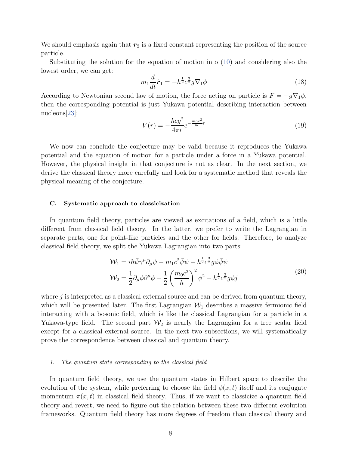We should emphasis again that  $r_2$  is a fixed constant representing the position of the source particle.

Substituting the solution for the equation of motion into [\(10\)](#page-5-2) and considering also the lowest order, we can get:

$$
m_1 \frac{d}{dt}\dot{\boldsymbol{r}}_1 = -\hbar^{\frac{1}{2}} c^{\frac{3}{2}} g \nabla_1 \phi \tag{18}
$$

According to Newtonian second law of motion, the force acting on particle is  $F = -g\nabla_1\phi$ , then the corresponding potential is just Yukawa potential describing interaction between nucleons[\[23](#page-23-9)]:

$$
V(r) = -\frac{\hbar c g^2}{4\pi r} e^{-\frac{m_0 c^2}{\hbar c}r}
$$
\n(19)

We now can conclude the conjecture may be valid because it reproduces the Yukawa potential and the equation of motion for a particle under a force in a Yukawa potential. However, the physical insight in that conjecture is not as clear. In the next section, we derive the classical theory more carefully and look for a systematic method that reveals the physical meaning of the conjecture.

# <span id="page-7-0"></span>C. Systematic approach to classicization

In quantum field theory, particles are viewed as excitations of a field, which is a little different from classical field theory. In the latter, we prefer to write the Lagrangian in separate parts, one for point-like particles and the other for fields. Therefore, to analyze classical field theory, we split the Yukawa Lagrangian into two parts:

$$
\mathcal{W}_1 = i\hbar \bar{\psi} \gamma^\mu \partial_\mu \psi - m_1 c^2 \bar{\psi} \psi - \hbar^{\frac{1}{2}} c^{\frac{3}{2}} g \phi \bar{\psi} \psi \n\mathcal{W}_2 = \frac{1}{2} \partial_\mu \phi \partial^\mu \phi - \frac{1}{2} \left( \frac{m_0 c^2}{\hbar} \right)^2 \phi^2 - \hbar^{\frac{1}{2}} c^{\frac{3}{2}} g \phi j
$$
\n(20)

<span id="page-7-1"></span>where  $j$  is interpreted as a classical external source and can be derived from quantum theory, which will be presented later. The first Lagrangian  $W_1$  describes a massive fermionic field interacting with a bosonic field, which is like the classical Lagrangian for a particle in a Yukawa-type field. The second part  $\mathcal{W}_2$  is nearly the Lagrangian for a free scalar field except for a classical external source. In the next two subsections, we will systematically prove the correspondence between classical and quantum theory.

#### 1. The quantum state corresponding to the classical field

In quantum field theory, we use the quantum states in Hilbert space to describe the evolution of the system, while preferring to choose the field  $\phi(x, t)$  itself and its conjugate momentum  $\pi(x, t)$  in classical field theory. Thus, if we want to classicize a quantum field theory and revert, we need to figure out the relation between these two different evolution frameworks. Quantum field theory has more degrees of freedom than classical theory and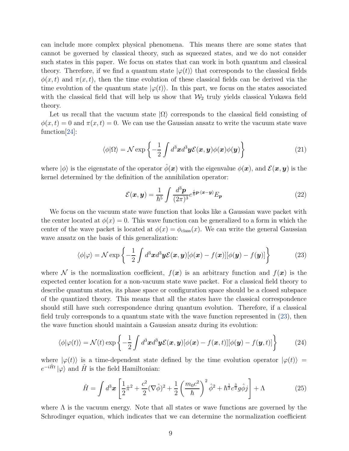can include more complex physical phenomena. This means there are some states that cannot be governed by classical theory, such as squeezed states, and we do not consider such states in this paper. We focus on states that can work in both quantum and classical theory. Therefore, if we find a quantum state  $|\varphi(t)\rangle$  that corresponds to the classical fields  $\phi(x, t)$  and  $\pi(x, t)$ , then the time evolution of these classical fields can be derived via the time evolution of the quantum state  $|\varphi(t)\rangle$ . In this part, we focus on the states associated with the classical field that will help us show that  $\mathcal{W}_2$  truly yields classical Yukawa field theory.

Let us recall that the vacuum state  $|\Omega\rangle$  corresponds to the classical field consisting of  $\phi(x,t) = 0$  and  $\pi(x,t) = 0$ . We can use the Gaussian ansatz to write the vacuum state wave function[\[24\]](#page-23-10):

$$
\langle \phi | \Omega \rangle = \mathcal{N} \exp \left\{ -\frac{1}{2} \int d^3x d^3y \mathcal{E}(\boldsymbol{x}, \boldsymbol{y}) \phi(\boldsymbol{x}) \phi(\boldsymbol{y}) \right\}
$$
(21)

where  $|\phi\rangle$  is the eigenstate of the operator  $\phi(\mathbf{x})$  with the eigenvalue  $\phi(\mathbf{x})$ , and  $\mathcal{E}(\mathbf{x}, \mathbf{y})$  is the kernel determined by the definition of the annihilation operator:

$$
\mathcal{E}(\boldsymbol{x}, \boldsymbol{y}) = \frac{1}{\hbar^5} \int \frac{d^3 \boldsymbol{p}}{(2\pi)^3} e^{\frac{i}{\hbar} \boldsymbol{p} \cdot (\boldsymbol{x} - \boldsymbol{y})} E_{\boldsymbol{p}} \tag{22}
$$

We focus on the vacuum state wave function that looks like a Gaussian wave packet with the center located at  $\phi(x) = 0$ . This wave function can be generalized to a form in which the center of the wave packet is located at  $\phi(x) = \phi_{\text{class}}(x)$ . We can write the general Gaussian wave ansatz on the basis of this generalization:

$$
\langle \phi | \varphi \rangle = \mathcal{N} \exp \left\{ -\frac{1}{2} \int d^3x d^3y \mathcal{E}(\boldsymbol{x}, \boldsymbol{y}) [\phi(\boldsymbol{x}) - f(\boldsymbol{x})] [\phi(\boldsymbol{y}) - f(\boldsymbol{y})] \right\}
$$
(23)

<span id="page-8-0"></span>where N is the normalization coefficient,  $f(x)$  is an arbitrary function and  $f(x)$  is the expected center location for a non-vacuum state wave packet. For a classical field theory to describe quantum states, its phase space or configuration space should be a closed subspace of the quantized theory. This means that all the states have the classical correspondence should still have such correspondence during quantum evolution. Therefore, if a classical field truly corresponds to a quantum state with the wave function represented in [\(23\)](#page-8-0), then the wave function should maintain a Gaussian ansatz during its evolution:

<span id="page-8-1"></span>
$$
\langle \phi | \varphi(t) \rangle = \mathcal{N}(t) \exp \left\{ -\frac{1}{2} \int d^3x d^3y \mathcal{E}(\boldsymbol{x}, \boldsymbol{y}) [\phi(\boldsymbol{x}) - f(\boldsymbol{x}, t)][\phi(\boldsymbol{y}) - f(\boldsymbol{y}, t)] \right\}
$$
(24)

where  $|\varphi(t)\rangle$  is a time-dependent state defined by the time evolution operator  $|\varphi(t)\rangle$  =  $e^{-i\hat{H}t} |\varphi\rangle$  and  $\hat{H}$  is the field Hamiltonian:

$$
\hat{H} = \int d^3x \left[ \frac{1}{2} \hat{\pi}^2 + \frac{c^2}{2} (\nabla \hat{\phi})^2 + \frac{1}{2} \left( \frac{m_0 c^2}{\hbar} \right)^2 \hat{\phi}^2 + \hbar^{\frac{1}{2}} c^{\frac{3}{2}} g \hat{\phi} j \right] + \Lambda \tag{25}
$$

where  $\Lambda$  is the vacuum energy. Note that all states or wave functions are governed by the Schrodinger equation, which indicates that we can determine the normalization coefficient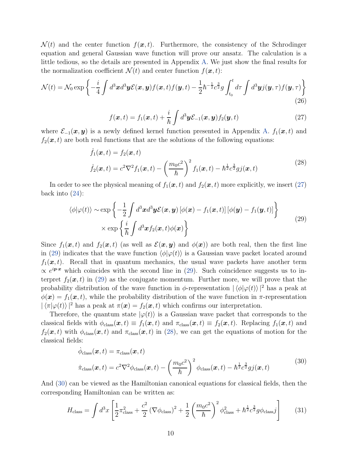$\mathcal{N}(t)$  and the center function  $f(\mathbf{x}, t)$ . Furthermore, the consistency of the Schrodinger equation and general Gaussian wave function will prove our ansatz. The calculation is a little tedious, so the details are presented in Appendix [A.](#page-17-0) We just show the final results for the normalization coefficient  $\mathcal{N}(t)$  and center function  $f(\boldsymbol{x}, t)$ :

$$
\mathcal{N}(t) = \mathcal{N}_0 \exp\left\{-\frac{i}{4} \int d^3x d^3y \mathcal{E}(\boldsymbol{x}, \boldsymbol{y}) f(\boldsymbol{x}, t) f(\boldsymbol{y}, t) - \frac{1}{2} \hbar^{-\frac{1}{2}} c^{\frac{3}{2}} g \int_{t_0}^t d\tau \int d^3y j(\boldsymbol{y}, \tau) f(\boldsymbol{y}, \tau) \right\}
$$
(26)

<span id="page-9-0"></span>
$$
f(\boldsymbol{x},t) = f_1(\boldsymbol{x},t) + \frac{i}{\hbar} \int d^3 \boldsymbol{y} \mathcal{E}_{-1}(\boldsymbol{x},\boldsymbol{y}) f_2(\boldsymbol{y},t)
$$
 (27)

where  $\mathcal{E}_{-1}(\bm{x}, \bm{y})$  is a newly defined kernel function presented in Appendix [A.](#page-17-0)  $f_1(\bm{x}, t)$  and  $f_2(x, t)$  are both real functions that are the solutions of the following equations:

$$
\dot{f}_1(\boldsymbol{x},t) = f_2(\boldsymbol{x},t)
$$
\n
$$
\dot{f}_2(\boldsymbol{x},t) = c^2 \nabla^2 f_1(\boldsymbol{x},t) - \left(\frac{m_0 c^2}{\hbar}\right)^2 f_1(\boldsymbol{x},t) - \hbar^{\frac{1}{2}} c^{\frac{3}{2}} g j(\boldsymbol{x},t)
$$
\n(28)

<span id="page-9-2"></span>In order to see the physical meaning of  $f_1(x, t)$  and  $f_2(x, t)$  more explicitly, we insert [\(27\)](#page-9-0) back into  $(24)$ :

$$
\langle \phi | \varphi(t) \rangle \sim \exp \left\{ -\frac{1}{2} \int d^3 \mathbf{x} d^3 \mathbf{y} \mathcal{E}(\mathbf{x}, \mathbf{y}) \left[ \phi(\mathbf{x}) - f_1(\mathbf{x}, t) \right] \left[ \phi(\mathbf{y}) - f_1(\mathbf{y}, t) \right] \right\} \times \exp \left\{ \frac{i}{\hbar} \int d^3 \mathbf{x} f_2(\mathbf{x}, t) \phi(\mathbf{x}) \right\}
$$
\n(29)

<span id="page-9-1"></span>Since  $f_1(x, t)$  and  $f_2(x, t)$  (as well as  $\mathcal{E}(x, y)$  and  $\phi(x)$ ) are both real, then the first line in [\(29\)](#page-9-1) indicates that the wave function  $\langle \phi | \varphi(t) \rangle$  is a Gaussian wave packet located around  $f_1(x, t)$ . Recall that in quantum mechanics, the usual wave packets have another term  $\propto e^{ip\cdot x}$  which coincides with the second line in [\(29\)](#page-9-1). Such coincidence suggests us to interpret  $f_2(x, t)$  in [\(29\)](#page-9-1) as the conjugate momentum. Further more, we will prove that the probability distribution of the wave function in  $\phi$ -representation  $|\langle \phi | \varphi(t) \rangle|^2$  has a peak at  $\phi(\mathbf{x}) = f_1(\mathbf{x}, t)$ , while the probability distribution of the wave function in  $\pi$ -representation  $|\langle \pi | \varphi(t) \rangle|^2$  has a peak at  $\pi(\boldsymbol{x}) = f_2(\boldsymbol{x}, t)$  which confirms our interpretation.

Therefore, the quantum state  $|\varphi(t)\rangle$  is a Gaussian wave packet that corresponds to the classical fields with  $\phi_{\text{class}}(\bm{x}, t) \equiv f_1(\bm{x}, t)$  and  $\pi_{\text{class}}(\bm{x}, t) \equiv f_2(\bm{x}, t)$ . Replacing  $f_1(\bm{x}, t)$  and  $f_2(x, t)$  with  $\phi_{\text{class}}(x, t)$  and  $\pi_{\text{class}}(x, t)$  in [\(28\)](#page-9-2), we can get the equations of motion for the classical fields:

$$
\dot{\phi}_{\text{class}}(\boldsymbol{x},t) = \pi_{\text{class}}(\boldsymbol{x},t) \n\dot{\pi}_{\text{class}}(\boldsymbol{x},t) = c^2 \nabla^2 \phi_{\text{class}}(\boldsymbol{x},t) - \left(\frac{m_0 c^2}{\hbar}\right)^2 \phi_{\text{class}}(\boldsymbol{x},t) - \hbar^{\frac{1}{2}} c^{\frac{3}{2}} g j(\boldsymbol{x},t)
$$
\n(30)

<span id="page-9-3"></span>And [\(30\)](#page-9-3) can be viewed as the Hamiltonian canonical equations for classical fields, then the corresponding Hamiltonian can be written as:

<span id="page-9-4"></span>
$$
H_{\text{class}} = \int d^3x \left[ \frac{1}{2} \pi_{\text{class}}^2 + \frac{c^2}{2} \left( \nabla \phi_{\text{class}} \right)^2 + \frac{1}{2} \left( \frac{m_0 c^2}{\hbar} \right)^2 \phi_{\text{class}}^2 + \hbar^{\frac{1}{2}} c^{\frac{3}{2}} g \phi_{\text{class}} j \right]
$$
(31)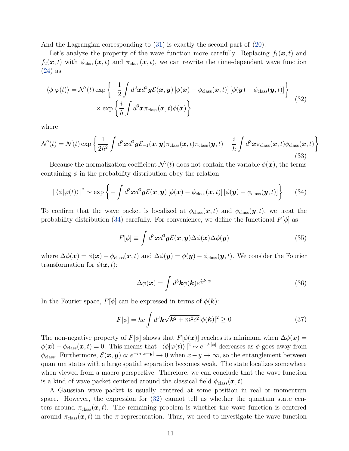And the Lagrangian corresponding to [\(31\)](#page-9-4) is exactly the second part of [\(20\)](#page-7-1).

Let's analyze the property of the wave function more carefully. Replacing  $f_1(x,t)$  and  $f_2(x, t)$  with  $\phi_{\text{class}}(x, t)$  and  $\pi_{\text{class}}(x, t)$ , we can rewrite the time-dependent wave function [\(24\)](#page-8-1) as

<span id="page-10-1"></span>
$$
\langle \phi | \varphi(t) \rangle = \mathcal{N}'(t) \exp \left\{ -\frac{1}{2} \int d^3 \mathbf{x} d^3 \mathbf{y} \mathcal{E}(\mathbf{x}, \mathbf{y}) \left[ \phi(\mathbf{x}) - \phi_{\text{class}}(\mathbf{x}, t) \right] \left[ \phi(\mathbf{y}) - \phi_{\text{class}}(\mathbf{y}, t) \right] \right\} \times \exp \left\{ \frac{i}{\hbar} \int d^3 \mathbf{x} \pi_{\text{class}}(\mathbf{x}, t) \phi(\mathbf{x}) \right\}
$$
(32)

where

$$
\mathcal{N}'(t) = \mathcal{N}(t) \exp \left\{ \frac{1}{2\hbar^2} \int d^3x d^3y \mathcal{E}_{-1}(x, y)\pi_{\text{class}}(x, t)\pi_{\text{class}}(y, t) - \frac{i}{\hbar} \int d^3x \pi_{\text{class}}(x, t)\phi_{\text{class}}(x, t) \right\}
$$
(33)

Because the normalization coefficient  $\mathcal{N}'(t)$  does not contain the variable  $\phi(\boldsymbol{x})$ , the terms containing  $\phi$  in the probability distribution obey the relation

<span id="page-10-0"></span>
$$
|\langle \phi | \varphi(t) \rangle|^2 \sim \exp \left\{-\int d^3 \mathbf{x} d^3 \mathbf{y} \mathcal{E}(\mathbf{x}, \mathbf{y}) \left[\phi(\mathbf{x}) - \phi_{\text{class}}(\mathbf{x}, t)\right] \left[\phi(\mathbf{y}) - \phi_{\text{class}}(\mathbf{y}, t)\right]\right\}
$$
(34)

To confirm that the wave packet is localized at  $\phi_{\text{class}}(\bm{x}, t)$  and  $\phi_{\text{class}}(\bm{y}, t)$ , we treat the probability distribution [\(34\)](#page-10-0) carefully. For convenience, we define the functional  $F[\phi]$  as

$$
F[\phi] \equiv \int d^3x d^3y \mathcal{E}(\mathbf{x}, \mathbf{y}) \Delta\phi(\mathbf{x}) \Delta\phi(\mathbf{y})
$$
 (35)

where  $\Delta\phi(\mathbf{x}) = \phi(\mathbf{x}) - \phi_{\text{class}}(\mathbf{x}, t)$  and  $\Delta\phi(\mathbf{y}) = \phi(\mathbf{y}) - \phi_{\text{class}}(\mathbf{y}, t)$ . We consider the Fourier transformation for  $\phi(\mathbf{x}, t)$ :

$$
\Delta\phi(\boldsymbol{x}) = \int d^3\boldsymbol{k}\phi(\boldsymbol{k})e^{\frac{i}{\hbar}\boldsymbol{k}\cdot\boldsymbol{x}} \tag{36}
$$

In the Fourier space,  $F[\phi]$  can be expressed in terms of  $\phi(\mathbf{k})$ :

$$
F[\phi] = \hbar c \int d^3 \mathbf{k} \sqrt{\mathbf{k}^2 + m^2 c^2} |\phi(\mathbf{k})|^2 \ge 0 \tag{37}
$$

The non-negative property of  $F[\phi]$  shows that  $F[\phi(\mathbf{x})]$  reaches its minimum when  $\Delta\phi(\mathbf{x}) =$  $\phi(\boldsymbol{x}) - \phi_{\text{class}}(\boldsymbol{x}, t) = 0$ . This means that  $|\langle \phi | \varphi(t) \rangle|^2 \sim e^{-F[\phi]}$  decreases as  $\phi$  goes away from  $\phi_{\text{class}}$ . Furthermore,  $\mathcal{E}(\bm{x}, \bm{y}) \propto e^{-m|\bm{x}-\bm{y}|} \to 0$  when  $x-y \to \infty$ , so the entanglement between quantum states with a large spatial separation becomes weak. The state localizes somewhere when viewed from a macro perspective. Therefore, we can conclude that the wave function is a kind of wave packet centered around the classical field  $\phi_{\text{class}}(\boldsymbol{x}, t)$ .

A Gaussian wave packet is usually centered at some position in real or momentum space. However, the expression for [\(32\)](#page-10-1) cannot tell us whether the quantum state centers around  $\pi_{\text{class}}(x, t)$ . The remaining problem is whether the wave function is centered around  $\pi_{\text{class}}(\bm{x}, t)$  in the  $\pi$  representation. Thus, we need to investigate the wave function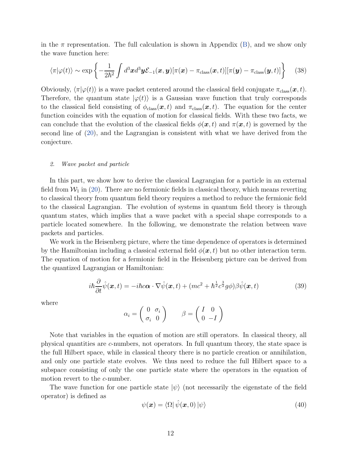in the  $\pi$  representation. The full calculation is shown in Appendix [\(B\)](#page-19-0), and we show only the wave function here:

$$
\langle \pi | \varphi(t) \rangle \sim \exp \left\{ -\frac{1}{2\hbar^2} \int d^3x d^3y \mathcal{E}_{-1}(x, y) [\pi(x) - \pi_{\text{class}}(x, t)][\pi(y) - \pi_{\text{class}}(y, t)] \right\} \tag{38}
$$

Obviously,  $\langle \pi | \varphi(t) \rangle$  is a wave packet centered around the classical field conjugate  $\pi_{\text{class}}(\bm{x}, t)$ . Therefore, the quantum state  $|\varphi(t)\rangle$  is a Gaussian wave function that truly corresponds to the classical field consisting of  $\phi_{\text{class}}(\bm{x}, t)$  and  $\pi_{\text{class}}(\bm{x}, t)$ . The equation for the center function coincides with the equation of motion for classical fields. With these two facts, we can conclude that the evolution of the classical fields  $\phi(\mathbf{x}, t)$  and  $\pi(\mathbf{x}, t)$  is governed by the second line of [\(20\)](#page-7-1), and the Lagrangian is consistent with what we have derived from the conjecture.

#### 2. Wave packet and particle

In this part, we show how to derive the classical Lagrangian for a particle in an external field from  $W_1$  in [\(20\)](#page-7-1). There are no fermionic fields in classical theory, which means reverting to classical theory from quantum field theory requires a method to reduce the fermionic field to the classical Lagrangian. The evolution of systems in quantum field theory is through quantum states, which implies that a wave packet with a special shape corresponds to a particle located somewhere. In the following, we demonstrate the relation between wave packets and particles.

We work in the Heisenberg picture, where the time dependence of operators is determined by the Hamiltonian including a classical external field  $\phi(\mathbf{x},t)$  but no other interaction term. The equation of motion for a fermionic field in the Heisenberg picture can be derived from the quantized Lagrangian or Hamiltonian:

<span id="page-11-0"></span>
$$
i\hbar\frac{\partial}{\partial t}\hat{\psi}(\boldsymbol{x},t) = -i\hbar c\boldsymbol{\alpha}\cdot\nabla\hat{\psi}(\boldsymbol{x},t) + (mc^2 + \hbar^{\frac{1}{2}}c^{\frac{3}{2}}g\phi)\beta\hat{\psi}(\boldsymbol{x},t)
$$
(39)

where

$$
\alpha_i = \begin{pmatrix} 0 & \sigma_i \\ \sigma_i & 0 \end{pmatrix} \qquad \beta = \begin{pmatrix} I & 0 \\ 0 & -I \end{pmatrix}
$$

Note that variables in the equation of motion are still operators. In classical theory, all physical quantities are c-numbers, not operators. In full quantum theory, the state space is the full Hilbert space, while in classical theory there is no particle creation or annihilation, and only one particle state evolves. We thus need to reduce the full Hilbert space to a subspace consisting of only the one particle state where the operators in the equation of motion revert to the c-number.

The wave function for one particle state  $|\psi\rangle$  (not necessarily the eigenstate of the field operator) is defined as

$$
\psi(\boldsymbol{x}) = \langle \Omega | \hat{\psi}(\boldsymbol{x}, 0) | \psi \rangle \tag{40}
$$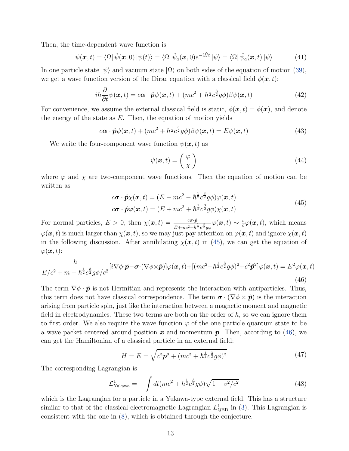Then, the time-dependent wave function is

$$
\psi(\boldsymbol{x},t) = \langle \Omega | \hat{\psi}(\boldsymbol{x},0) | \psi(t) \rangle = \langle \Omega | \hat{\psi}_a(\boldsymbol{x},0) e^{-i\hat{H}t} | \psi \rangle = \langle \Omega | \hat{\psi}_a(\boldsymbol{x},t) | \psi \rangle \tag{41}
$$

In one particle state  $|\psi\rangle$  and vacuum state  $|\Omega\rangle$  on both sides of the equation of motion [\(39\)](#page-11-0), we get a wave function version of the Dirac equation with a classical field  $\phi(\mathbf{x}, t)$ :

$$
i\hbar \frac{\partial}{\partial t}\psi(\boldsymbol{x},t) = c\boldsymbol{\alpha} \cdot \hat{\boldsymbol{p}}\psi(\boldsymbol{x},t) + (mc^2 + \hbar^{\frac{1}{2}}c^{\frac{3}{2}}g\phi)\beta\psi(\boldsymbol{x},t)
$$
(42)

For convenience, we assume the external classical field is static,  $\phi(\mathbf{x},t) = \phi(\mathbf{x})$ , and denote the energy of the state as  $E$ . Then, the equation of motion yields

$$
c\boldsymbol{\alpha} \cdot \hat{\boldsymbol{p}}\psi(\boldsymbol{x},t) + (mc^2 + \hbar^{\frac{1}{2}}c^{\frac{3}{2}}g\phi)\beta\psi(\boldsymbol{x},t) = E\psi(\boldsymbol{x},t)
$$
(43)

We write the four-component wave function  $\psi(\mathbf{x}, t)$  as

$$
\psi(\boldsymbol{x},t) = \begin{pmatrix} \varphi \\ \chi \end{pmatrix} \tag{44}
$$

where  $\varphi$  and  $\chi$  are two-component wave functions. Then the equation of motion can be written as

$$
c\boldsymbol{\sigma} \cdot \hat{\boldsymbol{p}} \chi(\boldsymbol{x},t) = (E - mc^2 - \hbar^{\frac{1}{2}} c^{\frac{3}{2}} g \phi) \varphi(\boldsymbol{x},t)
$$
  
\n
$$
c\boldsymbol{\sigma} \cdot \hat{\boldsymbol{p}} \varphi(\boldsymbol{x},t) = (E + mc^2 + \hbar^{\frac{1}{2}} c^{\frac{3}{2}} g \phi) \chi(\boldsymbol{x},t)
$$
\n(45)

<span id="page-12-0"></span>For normal particles,  $E > 0$ , then  $\chi(\mathbf{x}, t) = \frac{c \sigma \cdot \hat{p}}{E + mc^2 + \hbar^2 c^2 g \phi} \varphi(\mathbf{x}, t) \sim \frac{v}{c}$  $\frac{v}{c}\varphi(\boldsymbol{x},t)$ , which means  $\varphi(\bm{x}, t)$  is much larger than  $\chi(\bm{x}, t)$ , so we may just pay attention on  $\varphi(\bm{x}, t)$  and ignore  $\chi(\bm{x}, t)$ in the following discussion. After annihilating  $\chi(x, t)$  in [\(45\)](#page-12-0), we can get the equation of  $\varphi(\boldsymbol{x},t)$ :

<span id="page-12-1"></span>
$$
\frac{\hbar}{E/c^2 + m + \hbar^{\frac{1}{2}}c^{\frac{3}{2}}g\phi/c^2}[i\nabla\phi \cdot \hat{\mathbf{p}} - \boldsymbol{\sigma} \cdot (\nabla\phi \times \hat{\mathbf{p}})]\varphi(\mathbf{x}, t) + [(mc^2 + \hbar^{\frac{1}{2}}c^{\frac{3}{2}}g\phi)^2 + c^2\hat{\mathbf{p}}^2]\varphi(\mathbf{x}, t) = E^2\varphi(\mathbf{x}, t)
$$
\n(46)

The term  $\nabla \phi \cdot \hat{\boldsymbol{p}}$  is not Hermitian and represents the interaction with antiparticles. Thus, this term does not have classical correspondence. The term  $\sigma \cdot (\nabla \phi \times \hat{\mathbf{p}})$  is the interaction arising from particle spin, just like the interaction between a magnetic moment and magnetic field in electrodynamics. These two terms are both on the order of  $\hbar$ , so we can ignore them to first order. We also require the wave function  $\varphi$  of the one particle quantum state to be a wave packet centered around position  $x$  and momentum  $p$ . Then, according to [\(46\)](#page-12-1), we can get the Hamiltonian of a classical particle in an external field:

$$
H = E = \sqrt{c^2 \mathbf{p}^2 + (mc^2 + \hbar^{\frac{1}{2}} c^{\frac{3}{2}} g \phi)^2}
$$
(47)

The corresponding Lagrangian is

$$
\mathcal{L}_{\text{Yukawa}}^1 = -\int dt (mc^2 + \hbar^{\frac{1}{2}} c^{\frac{3}{2}} g\phi) \sqrt{1 - v^2/c^2}
$$
(48)

which is the Lagrangian for a particle in a Yukawa-type external field. This has a structure similar to that of the classical electromagnetic Lagrangian  $L_{\text{QED}}^1$  in [\(3\)](#page-4-0). This Lagrangian is consistent with the one in [\(8\)](#page-5-3), which is obtained through the conjecture.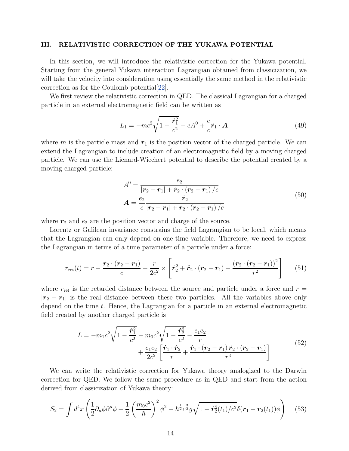# <span id="page-13-0"></span>III. RELATIVISTIC CORRECTION OF THE YUKAWA POTENTIAL

In this section, we will introduce the relativistic correction for the Yukawa potential. Starting from the general Yukawa interaction Lagrangian obtained from classicization, we will take the velocity into consideration using essentially the same method in the relativistic correction as for the Coulomb potential[\[22](#page-23-7)].

We first review the relativistic correction in QED. The classical Lagrangian for a charged particle in an external electromagnetic field can be written as

$$
L_1 = -mc^2 \sqrt{1 - \frac{\dot{r}_1^2}{c^2}} - eA^0 + \frac{e}{c}\dot{r}_1 \cdot A \tag{49}
$$

where m is the particle mass and  $r_1$  is the position vector of the charged particle. We can extend the Lagrangian to include creation of an electromagnetic field by a moving charged particle. We can use the Lienard-Wiechert potential to describe the potential created by a moving charged particle:

$$
A^{0} = \frac{e_{2}}{|\mathbf{r}_{2} - \mathbf{r}_{1}| + \dot{\mathbf{r}}_{2} \cdot (\mathbf{r}_{2} - \mathbf{r}_{1})/c}
$$
  

$$
A = \frac{e_{2}}{c} \frac{\dot{\mathbf{r}}_{2}}{|\mathbf{r}_{2} - \mathbf{r}_{1}| + \dot{\mathbf{r}}_{2} \cdot (\mathbf{r}_{2} - \mathbf{r}_{1})/c}
$$
(50)

where  $r_2$  and  $e_2$  are the position vector and charge of the source.

Lorentz or Galilean invariance constrains the field Lagrangian to be local, which means that the Lagrangian can only depend on one time variable. Therefore, we need to express the Lagrangian in terms of a time parameter of a particle under a force:

$$
r_{\rm ret}(t) = r - \frac{\dot{\mathbf{r}}_2 \cdot (\mathbf{r}_2 - \mathbf{r}_1)}{c} + \frac{r}{2c^2} \times \left[ \dot{\mathbf{r}}_2^2 + \ddot{\mathbf{r}}_2 \cdot (\mathbf{r}_2 - \mathbf{r}_1) + \frac{(\dot{\mathbf{r}}_2 \cdot (\mathbf{r}_2 - \mathbf{r}_1))^2}{r^2} \right] \tag{51}
$$

where  $r_{\text{ret}}$  is the retarded distance between the source and particle under a force and  $r =$  $|r_2 - r_1|$  is the real distance between these two particles. All the variables above only depend on the time t. Hence, the Lagrangian for a particle in an external electromagnetic field created by another charged particle is

$$
L = -m_1 c^2 \sqrt{1 - \frac{\dot{r}_1^2}{c^2}} - m_0 c^2 \sqrt{1 - \frac{\dot{r}_2^2}{c^2}} - \frac{e_1 e_2}{r} + \frac{e_1 e_2}{2c^2} \left[ \frac{\dot{r}_1 \cdot \dot{r}_2}{r} + \frac{\dot{r}_1 \cdot (r_2 - r_1) \dot{r}_2 \cdot (r_2 - r_1)}{r^3} \right]
$$
(52)

<span id="page-13-1"></span>We can write the relativistic correction for Yukawa theory analogized to the Darwin correction for QED. We follow the same procedure as in QED and start from the action derived from classicization of Yukawa theory:

$$
S_2 = \int d^4x \left( \frac{1}{2} \partial_\mu \phi \partial^\mu \phi - \frac{1}{2} \left( \frac{m_0 c^2}{\hbar} \right)^2 \phi^2 - \hbar^{\frac{1}{2}} c^{\frac{3}{2}} g \sqrt{1 - \dot{\mathbf{r}}_2^2(t_1)/c^2} \delta(\mathbf{r}_1 - \mathbf{r}_2(t_1)) \phi \right) \tag{53}
$$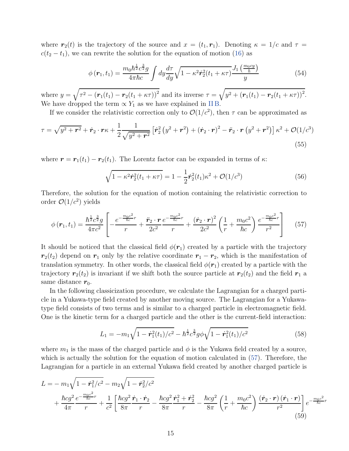where  $r_2(t)$  is the trajectory of the source and  $x = (t_1, r_1)$ . Denoting  $\kappa = 1/c$  and  $\tau =$  $c(t_2 - t_1)$ , we can rewrite the solution for the equation of motion [\(16\)](#page-6-1) as

$$
\phi\left(\boldsymbol{r}_1, t_1\right) = \frac{m_0 \hbar^{\frac{1}{2}} c^{\frac{3}{2}} g}{4 \pi \hbar c} \int dy \frac{d\tau}{dy} \sqrt{1 - \kappa^2 \dot{\boldsymbol{r}}_2^2 (t_1 + \kappa \tau)} \frac{J_1\left(\frac{m_0 c y}{\hbar}\right)}{y} \tag{54}
$$

where  $y = \sqrt{\tau^2 - (r_1(t_1) - r_2(t_1 + \kappa\tau))^2}$  and its inverse  $\tau = \sqrt{y^2 + (r_1(t_1) - r_2(t_1 + \kappa\tau))^2}$ . We have dropped the term  $\propto Y_1$  as we have explained in IIB.

If we consider the relativistic correction only to  $\mathcal{O}(1/c^2)$ , then  $\tau$  can be approximated as

$$
\tau = \sqrt{y^2 + r^2} + \dot{r}_2 \cdot r\kappa + \frac{1}{2} \frac{1}{\sqrt{y^2 + r^2}} \left[ \dot{r}_2^2 (y^2 + r^2) + (\dot{r}_2 \cdot r)^2 - \ddot{r}_2 \cdot r (y^2 + r^2) \right] \kappa^2 + \mathcal{O}(1/c^3)
$$
\n(55)

where  $\mathbf{r} = \mathbf{r}_1(t_1) - \mathbf{r}_2(t_1)$ . The Lorentz factor can be expanded in terms of  $\kappa$ :

$$
\sqrt{1 - \kappa^2 \dot{\mathbf{r}}_2^2 (t_1 + \kappa \tau)} = 1 - \frac{1}{2} \dot{\mathbf{r}}_2^2 (t_1) \kappa^2 + \mathcal{O}(1/c^3)
$$
\n(56)

Therefore, the solution for the equation of motion containing the relativistic correction to order  $\mathcal{O}(1/c^2)$  yields

<span id="page-14-0"></span>
$$
\phi\left(\boldsymbol{r}_{1},t_{1}\right)=\frac{\hbar^{\frac{1}{2}}c^{\frac{3}{2}}g}{4\pi c^{2}}\left[-\frac{e^{-\frac{m_{0}c^{2}}{\hbar c}r}}{r}+\frac{\ddot{\boldsymbol{r}}_{2}\cdot\boldsymbol{r}}{2c^{2}}\frac{e^{-\frac{m_{0}c^{2}}{\hbar c}r}}{r}+\frac{\left(\dot{\boldsymbol{r}}_{2}\cdot\boldsymbol{r}\right)^{2}}{2c^{2}}\left(\frac{1}{r}+\frac{m_{0}c^{2}}{\hbar c}\right)\frac{e^{-\frac{m_{0}c^{2}}{\hbar c}r}}{r^{2}}\right]
$$
(57)

It should be noticed that the classical field  $\phi(\mathbf{r}_1)$  created by a particle with the trajectory  $r_2(t_2)$  depend on  $r_1$  only by the relative coordinate  $r_1 - r_2$ , which is the manifestation of translation symmetry. In other words, the classical field  $\phi(\mathbf{r}_1)$  created by a particle with the trajectory  $r_2(t_2)$  is invariant if we shift both the source particle at  $r_2(t_2)$  and the field  $r_1$  a same distance  $r_0$ .

In the following classicization procedure, we calculate the Lagrangian for a charged particle in a Yukawa-type field created by another moving source. The Lagrangian for a Yukawatype field consists of two terms and is similar to a charged particle in electromagnetic field. One is the kinetic term for a charged particle and the other is the current-field interaction:

$$
L_1 = -m_1 \sqrt{1 - \dot{r}_1^2(t_1)/c^2} - \hbar^{\frac{1}{2}} c^{\frac{3}{2}} g \phi \sqrt{1 - \dot{r}_1^2(t_1)/c^2}
$$
(58)

where  $m_1$  is the mass of the charged particle and  $\phi$  is the Yukawa field created by a source, which is actually the solution for the equation of motion calculated in [\(57\)](#page-14-0). Therefore, the Lagrangian for a particle in an external Yukawa field created by another charged particle is

$$
L = -m_1 \sqrt{1 - \dot{r}_1^2/c^2} - m_2 \sqrt{1 - \dot{r}_2^2/c^2} + \frac{\hbar c g^2}{4\pi} \frac{e^{-\frac{m_0 c^2}{\hbar c}r}}{r} + \frac{1}{c^2} \left[ \frac{\hbar c g^2}{8\pi} \frac{\dot{r}_1 \cdot \dot{r}_2}{r} - \frac{\hbar c g^2}{8\pi} \frac{\dot{r}_1^2 + \dot{r}_2^2}{r} - \frac{\hbar c g^2}{8\pi} \left( \frac{1}{r} + \frac{m_0 c^2}{\hbar c} \right) \frac{(\dot{r}_2 \cdot r)(\dot{r}_1 \cdot r)}{r^2} \right] e^{-\frac{m_0 c^2}{\hbar c}r}
$$
(59)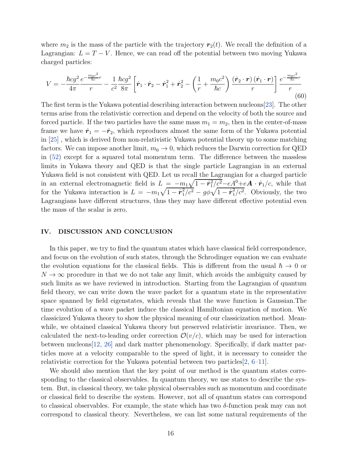where  $m_2$  is the mass of the particle with the trajectory  $r_2(t)$ . We recall the definition of a Lagrangian:  $L = T - V$ . Hence, we can read off the potential between two moving Yukawa charged particles:

$$
V = -\frac{\hbar c g^2}{4\pi} \frac{e^{-\frac{m_0 c^2}{\hbar c}r}}{r} - \frac{1}{c^2} \frac{\hbar c g^2}{8\pi} \left[ \dot{\mathbf{r}}_1 \cdot \dot{\mathbf{r}}_2 - \dot{\mathbf{r}}_1^2 + \dot{\mathbf{r}}_2^2 - \left( \frac{1}{r} + \frac{m_0 c^2}{\hbar c} \right) \frac{(\dot{\mathbf{r}}_2 \cdot \mathbf{r})(\dot{\mathbf{r}}_1 \cdot \mathbf{r})}{r} \right] \frac{e^{-\frac{m_0 c^2}{\hbar c}r}}{r}
$$
(60)

The first term is the Yukawa potential describing interaction between nucleons[\[23](#page-23-9)]. The other terms arise from the relativistic correction and depend on the velocity of both the source and forced particle. If the two particles have the same mass  $m_1 = m_2$ , then in the center-of-mass frame we have  $\dot{\mathbf{r}}_1 = -\dot{\mathbf{r}}_2$ , which reproduces almost the same form of the Yukawa potential in [\[25](#page-23-11)] , which is derived from non-relativistic Yukawa potential theory up to some matching factors. We can impose another limit,  $m_0 \to 0$ , which reduces the Darwin correction for QED in [\(52\)](#page-13-1) except for a squared total momentum term. The difference between the massless limits in Yukawa theory and QED is that the single particle Lagrangian in an external Yukawa field is not consistent with QED. Let us recall the Lagrangian for a charged particle in an external electromagnetic field is  $L = -m_1\sqrt{1-\dot{r}_1^2/c^2} - eA^0 + eA \cdot \dot{r}_1/c$ , while that for the Yukawa interaction is  $L = -m_1\sqrt{1 - \dot{r}_1^2/c^2} - g\phi\sqrt{1 - \dot{r}_1^2/c^2}$ . Obviously, the two Lagrangians have different structures, thus they may have different effective potential even the mass of the scalar is zero.

## <span id="page-15-0"></span>IV. DISCUSSION AND CONCLUSION

In this paper, we try to find the quantum states which have classical field correspondence, and focus on the evolution of such states, through the Schrodinger equation we can evaluate the evolution equations for the classical fields. This is different from the usual  $\hbar \to 0$  or  $N \to \infty$  procedure in that we do not take any limit, which avoids the ambiguity caused by such limits as we have reviewed in introduction. Starting from the Lagrangian of quantum field theory, we can write down the wave packet for a quantum state in the representative space spanned by field eigenstates, which reveals that the wave function is Gaussian.The time evolution of a wave packet induce the classical Hamiltonian equation of motion. We classicized Yukawa theory to show the physical meaning of our classicization method. Meanwhile, we obtained classical Yukawa theory but preserved relativistic invariance. Then, we calculated the next-to-leading order correction  $\mathcal{O}(v/c)$ , which may be used for interaction between nucleons[\[12](#page-22-7), [26\]](#page-23-12) and dark matter phenomenology. Specifically, if dark matter particles move at a velocity comparable to the speed of light, it is necessary to consider the relativistic correction for the Yukawa potential between two particles[\[2](#page-22-1), [6](#page-22-4)[–11\]](#page-22-5).

We should also mention that the key point of our method is the quantum states corresponding to the classical observables. In quantum theory, we use states to describe the system. But, in classical theory, we take physical observables such as momentum and coordinate or classical field to describe the system. However, not all of quantum states can correspond to classical observables. For example, the state which has two δ-function peak may can not correspond to classical theory. Nevertheless, we can list some natural requirements of the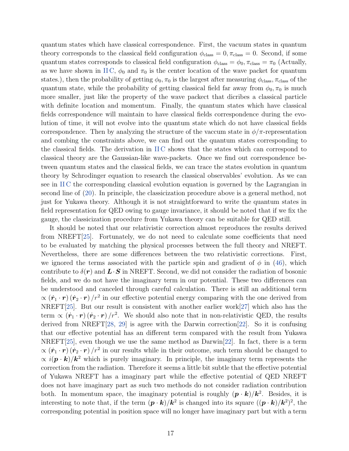quantum states which have classical correspondence. First, the vacuum states in quantum theory corresponds to the classical field configuration  $\phi_{\text{class}} = 0, \pi_{\text{class}} = 0$ . Second, if some quantum states corresponds to classical field configuration  $\phi_{\text{class}} = \phi_0$ ,  $\pi_{\text{class}} = \pi_0$  (Actually, as we have shown in IIC,  $\phi_0$  and  $\pi_0$  is the center location of the wave packet for quantum states.), then the probability of getting  $\phi_0$ ,  $\pi_0$  is the largest after measuring  $\phi_{\text{class}}, \pi_{\text{class}}$  of the quantum state, while the probability of getting classical field far away from  $\phi_0$ ,  $\pi_0$  is much more smaller, just like the property of the wave packect that dicribes a classical particle with definite location and momentum. Finally, the quantum states which have classical fields correspondence will maintain to have classical fields correspondence during the evolution of time, it will not evolve into the quantum state which do not have classical fields correspondence. Then by analyzing the structure of the vaccum state in  $\phi/\pi$ -representation and combing the constraints above, we can find out the quantum states corresponding to the classical fields. The derivation in [II C](#page-7-0) shows that the states which can correspond to classical theory are the Gaussian-like wave-packets. Once we find out correspondence between quantum states and the classical fields, we can trace the states evolution in quantum theory by Schrodinger equation to research the classical observables' evolution. As we can see in [II C](#page-7-0) the corresponding classical evolution equation is governed by the Lagrangian in second line of [\(20\)](#page-7-1). In principle, the classicization procedure above is a general method, not just for Yukawa theory. Although it is not straightforward to write the quantum states in field representation for QED owing to gauge invariance, it should be noted that if we fix the gauge, the classicization procedure from Yukawa theory can be suitable for QED still.

It should be noted that our relativistic correction almost reproduces the results derived from NREFT[\[25\]](#page-23-11). Fortunately, we do not need to calculate some coefficients that need to be evaluated by matching the physical processes between the full theory and NREFT. Nevertheless, there are some differences between the two relativistic corrections. First, we ignored the terms associated with the particle spin and gradient of  $\phi$  in [\(46\)](#page-12-1), which contribute to  $\delta(\mathbf{r})$  and  $\mathbf{L} \cdot \mathbf{S}$  in NREFT. Second, we did not consider the radiation of bosonic fields, and we do not have the imaginary term in our potential. These two differences can be understood and canceled through careful calculation. There is still an additional term  $\propto (\dot{\bm{r}}_1 \cdot \bm{r}) (\dot{\bm{r}}_2 \cdot \bm{r})/r^2$  in our effective potential energy comparing with the one derived from NREFT[\[25](#page-23-11)]. But our result is consistent with another earlier work[\[27\]](#page-23-13) which also has the term  $\propto (\dot{\bf r}_1 \cdot {\bf r}) (\dot{\bf r}_2 \cdot {\bf r})/r^2$ . We should also note that in non-relativistic QED, the results derived from NREFT $[28, 29]$  $[28, 29]$  $[28, 29]$  is agree with the Darwin correction  $[22]$  $[22]$ . So it is confusing that our effective potential has an different term compared with the result from Yukawa NREFT[\[25](#page-23-11)], even though we use the same method as  $Darwin[22]$  $Darwin[22]$  $Darwin[22]$ . In fact, there is a term  $\propto (\dot{\bm{r}}_1 \cdot \bm{r}) (\dot{\bm{r}}_2 \cdot \bm{r})/r^2$  in our results while in their outcome, such term should be changed to  $\propto i(\mathbf{p} \cdot \mathbf{k})/\mathbf{k}^2$  which is purely imaginary. In principle, the imaginary term represents the correction from the radiation. Therefore it seems a little bit subtle that the effective potential of Yukawa NREFT has a imaginary part while the effective potential of QED NREFT does not have imaginary part as such two methods do not consider radiation contribution both. In momentum space, the imaginary potential is roughly  $(p \cdot k)/k^2$ . Besides, it is interesting to note that, if the term  $(p \cdot k)/k^2$  is changed into its square  $((p \cdot k)/k^2)^2$ , the corresponding potential in position space will no longer have imaginary part but with a term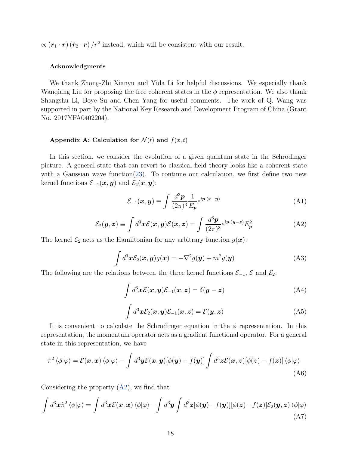$\propto (\dot{\mathbf{r}}_1 \cdot \mathbf{r}) (\dot{\mathbf{r}}_2 \cdot \mathbf{r})/r^2$  instead, which will be consistent with our result.

## Acknowledgments

We thank Zhong-Zhi Xianyu and Yida Li for helpful discussions. We especially thank Wanqiang Liu for proposing the free coherent states in the  $\phi$  representation. We also thank Shangshu Li, Boye Su and Chen Yang for useful comments. The work of Q. Wang was supported in part by the National Key Research and Development Program of China (Grant No. 2017YFA0402204).

## <span id="page-17-0"></span>Appendix A: Calculation for  $\mathcal{N}(t)$  and  $f(x,t)$

In this section, we consider the evolution of a given quantum state in the Schrodinger picture. A general state that can revert to classical field theory looks like a coherent state with a Gaussian wave function[\(23\)](#page-8-0). To continue our calculation, we first define two new kernel functions  $\mathcal{E}_{-1}(\boldsymbol{x}, \boldsymbol{y})$  and  $\mathcal{E}_{2}(\boldsymbol{x}, \boldsymbol{y})$ :

$$
\mathcal{E}_{-1}(\boldsymbol{x}, \boldsymbol{y}) \equiv \int \frac{d^3 \boldsymbol{p}}{(2\pi)^3} \frac{1}{E_{\boldsymbol{p}}} e^{i \boldsymbol{p} \cdot (\boldsymbol{x} - \boldsymbol{y})} \tag{A1}
$$

<span id="page-17-1"></span>
$$
\mathcal{E}_2(\mathbf{y}, \mathbf{z}) \equiv \int d^3 \mathbf{x} \mathcal{E}(\mathbf{x}, \mathbf{y}) \mathcal{E}(\mathbf{x}, \mathbf{z}) = \int \frac{d^3 \mathbf{p}}{(2\pi)^3} e^{i \mathbf{p} \cdot (\mathbf{y} - \mathbf{z})} E_{\mathbf{p}}^2 \tag{A2}
$$

The kernel  $\mathcal{E}_2$  acts as the Hamiltonian for any arbitrary function  $g(x)$ :

<span id="page-17-2"></span>
$$
\int d^3x \mathcal{E}_2(\boldsymbol{x}, \boldsymbol{y}) g(\boldsymbol{x}) = -\nabla^2 g(\boldsymbol{y}) + m^2 g(\boldsymbol{y})
$$
\n(A3)

The following are the relations between the three kernel functions  $\mathcal{E}_{-1}$ ,  $\mathcal{E}$  and  $\mathcal{E}_2$ :

<span id="page-17-3"></span>
$$
\int d^3x \mathcal{E}(\boldsymbol{x}, \boldsymbol{y}) \mathcal{E}_{-1}(\boldsymbol{x}, \boldsymbol{z}) = \delta(\boldsymbol{y} - \boldsymbol{z})
$$
\n(A4)

$$
\int d^3x \mathcal{E}_2(\boldsymbol{x}, \boldsymbol{y}) \mathcal{E}_{-1}(\boldsymbol{x}, \boldsymbol{z}) = \mathcal{E}(\boldsymbol{y}, \boldsymbol{z})
$$
\n(A5)

It is convenient to calculate the Schrodinger equation in the  $\phi$  representation. In this representation, the momentum operator acts as a gradient functional operator. For a general state in this representation, we have

$$
\hat{\pi}^2 \langle \phi | \varphi \rangle = \mathcal{E}(\boldsymbol{x}, \boldsymbol{x}) \langle \phi | \varphi \rangle - \int d^3 \boldsymbol{y} \mathcal{E}(\boldsymbol{x}, \boldsymbol{y}) [\phi(\boldsymbol{y}) - f(\boldsymbol{y})] \int d^3 \boldsymbol{z} \mathcal{E}(\boldsymbol{x}, \boldsymbol{z}) [\phi(\boldsymbol{z}) - f(\boldsymbol{z})] \langle \phi | \varphi \rangle
$$
\n(A6)

Considering the property [\(A2\)](#page-17-1), we find that

$$
\int d^3x \hat{\pi}^2 \langle \phi | \varphi \rangle = \int d^3x \mathcal{E}(\mathbf{x}, \mathbf{x}) \langle \phi | \varphi \rangle - \int d^3y \int d^3z [\phi(\mathbf{y}) - f(\mathbf{y})] [\phi(\mathbf{z}) - f(\mathbf{z})] \mathcal{E}_2(\mathbf{y}, \mathbf{z}) \langle \phi | \varphi \rangle
$$
\n(A7)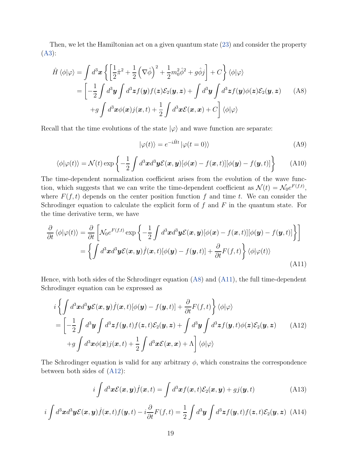Then, we let the Hamiltonian act on a given quantum state [\(23\)](#page-8-0) and consider the property [\(A3\)](#page-17-2):

<span id="page-18-0"></span>
$$
\hat{H}\langle\phi|\varphi\rangle = \int d^3x \left\{ \left[ \frac{1}{2}\hat{\pi}^2 + \frac{1}{2} \left( \nabla \hat{\phi} \right)^2 + \frac{1}{2} m_0^2 \hat{\phi}^2 + g \hat{\phi} j \right] + C \right\} \langle\phi|\varphi\rangle
$$
\n
$$
= \left[ -\frac{1}{2} \int d^3y \int d^3z f(y) f(z) \mathcal{E}_2(y, z) + \int d^3y \int d^3z f(y) \phi(z) \mathcal{E}_2(y, z) \right] \quad (A8)
$$
\n
$$
+ g \int d^3x \phi(x) j(x, t) + \frac{1}{2} \int d^3x \mathcal{E}(x, x) + C \right] \langle\phi|\varphi\rangle
$$

Recall that the time evolutions of the state  $|\varphi\rangle$  and wave function are separate:

$$
|\varphi(t)\rangle = e^{-i\hat{H}t} |\varphi(t=0)\rangle
$$
 (A9)

$$
\langle \phi | \varphi(t) \rangle = \mathcal{N}(t) \exp \left\{ -\frac{1}{2} \int d^3x d^3y \mathcal{E}(\boldsymbol{x}, \boldsymbol{y}) [\phi(\boldsymbol{x}) - f(\boldsymbol{x}, t)] [\phi(\boldsymbol{y}) - f(\boldsymbol{y}, t)] \right\}
$$
(A10)

The time-dependent normalization coefficient arises from the evolution of the wave function, which suggests that we can write the time-dependent coefficient as  $\mathcal{N}(t) = \mathcal{N}_0 e^{F(f,t)}$ , where  $F(f, t)$  depends on the center position function f and time t. We can consider the Schrodinger equation to calculate the explicit form of  $f$  and  $F$  in the quantum state. For the time derivative term, we have

<span id="page-18-1"></span>
$$
\frac{\partial}{\partial t} \langle \phi | \varphi(t) \rangle = \frac{\partial}{\partial t} \left[ \mathcal{N}_0 e^{F(f,t)} \exp \left\{ -\frac{1}{2} \int d^3 x d^3 y \mathcal{E}(\boldsymbol{x}, \boldsymbol{y}) [\phi(\boldsymbol{x}) - f(\boldsymbol{x}, t)] [\phi(\boldsymbol{y}) - f(\boldsymbol{y}, t)] \right\} \right]
$$
\n
$$
= \left\{ \int d^3 x d^3 y \mathcal{E}(\boldsymbol{x}, \boldsymbol{y}) \dot{f}(\boldsymbol{x}, t) [\phi(\boldsymbol{y}) - f(\boldsymbol{y}, t)] + \frac{\partial}{\partial t} F(f, t) \right\} \langle \phi | \varphi(t) \rangle \tag{A11}
$$

Hence, with both sides of the Schrodinger equation [\(A8\)](#page-18-0) and [\(A11\)](#page-18-1), the full time-dependent Schrodinger equation can be expressed as

<span id="page-18-2"></span>
$$
i\left\{\int d^3x d^3y \mathcal{E}(\mathbf{x}, \mathbf{y}) f(\mathbf{x}, t)[\phi(\mathbf{y}) - f(\mathbf{y}, t)] + \frac{\partial}{\partial t} F(f, t) \right\} \langle \phi | \varphi \rangle
$$
  
=  $\left[ -\frac{1}{2} \int d^3y \int d^3z f(\mathbf{y}, t) f(\mathbf{z}, t) \mathcal{E}_2(\mathbf{y}, \mathbf{z}) + \int d^3y \int d^3z f(\mathbf{y}, t) \phi(\mathbf{z}) \mathcal{E}_2(\mathbf{y}, \mathbf{z}) \right]$  (A12)  
+ $g \int d^3x \phi(\mathbf{x}) j(\mathbf{x}, t) + \frac{1}{2} \int d^3x \mathcal{E}(\mathbf{x}, \mathbf{x}) + \Lambda \right] \langle \phi | \varphi \rangle$ 

The Schrodinger equation is valid for any arbitrary  $\phi$ , which constrains the correspondence between both sides of [\(A12\)](#page-18-2):

<span id="page-18-3"></span>
$$
i\int d^3\boldsymbol{x}\mathcal{E}(\boldsymbol{x},\boldsymbol{y})\dot{f}(\boldsymbol{x},t) = \int d^3\boldsymbol{x}f(\boldsymbol{x},t)\mathcal{E}_2(\boldsymbol{x},\boldsymbol{y}) + gj(\boldsymbol{y},t)
$$
(A13)

<span id="page-18-4"></span>
$$
i\int d^3\mathbf{x}d^3\mathbf{y}\mathcal{E}(\mathbf{x},\mathbf{y})\dot{f}(\mathbf{x},t)f(\mathbf{y},t) - i\frac{\partial}{\partial t}F(f,t) = \frac{1}{2}\int d^3\mathbf{y}\int d^3\mathbf{z}f(\mathbf{y},t)f(\mathbf{z},t)\mathcal{E}_2(\mathbf{y},\mathbf{z})
$$
 (A14)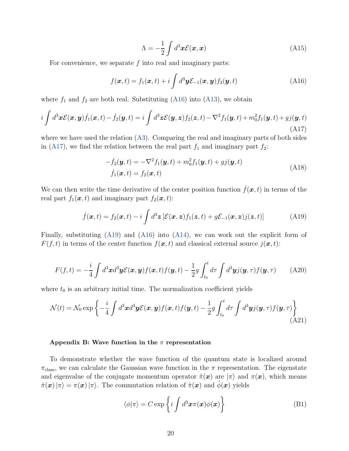$$
\Lambda = -\frac{1}{2} \int d^3 \boldsymbol{x} \mathcal{E}(\boldsymbol{x}, \boldsymbol{x}) \tag{A15}
$$

For convenience, we separate  $f$  into real and imaginary parts:

<span id="page-19-1"></span>
$$
f(\boldsymbol{x},t) = f_1(\boldsymbol{x},t) + i \int d^3 \boldsymbol{y} \mathcal{E}_{-1}(\boldsymbol{x},\boldsymbol{y}) f_2(\boldsymbol{y},t)
$$
 (A16)

where  $f_1$  and  $f_2$  are both real. Substituting [\(A16\)](#page-19-1) into [\(A13\)](#page-18-3), we obtain

<span id="page-19-2"></span>
$$
i\int d^3\boldsymbol{x}\mathcal{E}(\boldsymbol{x},\boldsymbol{y})\dot{f}_1(\boldsymbol{x},t) - \dot{f}_2(\boldsymbol{y},t) = i\int d^3\boldsymbol{z}\mathcal{E}(\boldsymbol{y},\boldsymbol{z})f_2(\boldsymbol{z},t) - \nabla^2 f_1(\boldsymbol{y},t) + m_0^2 f_1(\boldsymbol{y},t) + g_j(\boldsymbol{y},t)
$$
\n(A17)

where we have used the relation [\(A3\)](#page-17-2). Comparing the real and imaginary parts of both sides in [\(A17\)](#page-19-2), we find the relation between the real part  $f_1$  and imaginary part  $f_2$ :

$$
-\dot{f}_2(\mathbf{y},t) = -\nabla^2 f_1(\mathbf{y},t) + m_0^2 f_1(\mathbf{y},t) + g_j(\mathbf{y},t)
$$
  
\n
$$
\dot{f}_1(\mathbf{x},t) = f_2(\mathbf{x},t)
$$
\n(A18)

We can then write the time derivative of the center position function  $f(x, t)$  in terms of the real part  $f_1(\boldsymbol{x}, t)$  and imaginary part  $f_2(\boldsymbol{x}, t)$ :

<span id="page-19-3"></span>
$$
\dot{f}(\boldsymbol{x},t) = f_2(\boldsymbol{x},t) - i \int d^3 z \left[ \mathcal{E}(\boldsymbol{x},z) f_1(\boldsymbol{z},t) + g \mathcal{E}_{-1}(\boldsymbol{x},z) j(\boldsymbol{z},t) \right]
$$
(A19)

Finally, substituting [\(A19\)](#page-19-3) and [\(A16\)](#page-19-1) into [\(A14\)](#page-18-4), we can work out the explicit form of  $F(f, t)$  in terms of the center function  $f(\mathbf{x}, t)$  and classical external source  $j(\mathbf{x}, t)$ :

$$
F(f,t) = -\frac{i}{4} \int d^3x d^3y \mathcal{E}(\boldsymbol{x}, \boldsymbol{y}) f(\boldsymbol{x}, t) f(\boldsymbol{y}, t) - \frac{1}{2} g \int_{t_0}^t d\tau \int d^3y j(\boldsymbol{y}, \tau) f(\boldsymbol{y}, \tau) \tag{A20}
$$

where  $t_0$  is an arbitrary initial time. The normalization coefficient yields

$$
\mathcal{N}(t) = \mathcal{N}_0 \exp\left\{-\frac{i}{4} \int d^3x d^3y \mathcal{E}(\boldsymbol{x}, \boldsymbol{y}) f(\boldsymbol{x}, t) f(\boldsymbol{y}, t) - \frac{1}{2} g \int_{t_0}^t d\tau \int d^3y j(\boldsymbol{y}, \tau) f(\boldsymbol{y}, \tau) \right\}
$$
(A21)

#### <span id="page-19-0"></span>Appendix B: Wave function in the  $\pi$  representation

To demonstrate whether the wave function of the quantum state is localized around  $\pi_{\text{class}}$ , we can calculate the Gaussian wave function in the  $\pi$  representation. The eigenstate and eigenvalue of the conjugate momentum operator  $\hat{\pi}(\bm{x})$  are  $|\pi\rangle$  and  $\pi(\bm{x})$ , which means  $\hat{\pi}(\bm{x})|\pi\rangle = \pi(\bm{x})|\pi\rangle$ . The commutation relation of  $\hat{\pi}(\bm{x})$  and  $\hat{\phi}(\bm{x})$  yields

$$
\langle \phi | \pi \rangle = C \exp \left\{ i \int d^3 \boldsymbol{x} \pi(\boldsymbol{x}) \phi(\boldsymbol{x}) \right\} \tag{B1}
$$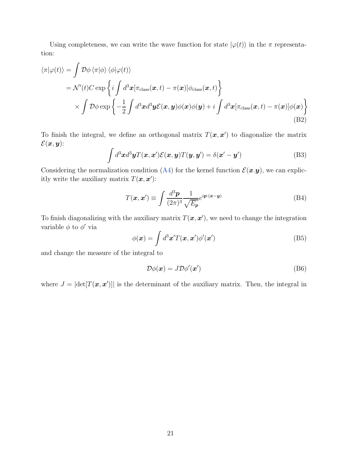Using completeness, we can write the wave function for state  $|\varphi(t)\rangle$  in the  $\pi$  representation:

<span id="page-20-0"></span>
$$
\langle \pi | \varphi(t) \rangle = \int \mathcal{D}\phi \langle \pi | \phi \rangle \langle \phi | \varphi(t) \rangle
$$
  
=  $\mathcal{N}'(t)C \exp \left\{ i \int d^3x [\pi_{\text{class}}(\boldsymbol{x}, t) - \pi(\boldsymbol{x})] \phi_{\text{class}}(\boldsymbol{x}, t) \right\}$   
 $\times \int \mathcal{D}\phi \exp \left\{ -\frac{1}{2} \int d^3x d^3y \mathcal{E}(\boldsymbol{x}, y) \phi(\boldsymbol{x}) \phi(y) + i \int d^3x [\pi_{\text{class}}(\boldsymbol{x}, t) - \pi(\boldsymbol{x})] \phi(\boldsymbol{x}) \right\}$   
(B2)

To finish the integral, we define an orthogonal matrix  $T(\mathbf{x}, \mathbf{x}')$  to diagonalize the matrix  $\mathcal{E}(\boldsymbol{x}, \boldsymbol{y})$ :

$$
\int d^3x d^3y T(\boldsymbol{x}, \boldsymbol{x}') \mathcal{E}(\boldsymbol{x}, \boldsymbol{y}) T(\boldsymbol{y}, \boldsymbol{y}') = \delta(\boldsymbol{x}' - \boldsymbol{y}')
$$
(B3)

Considering the normalization condition [\(A4\)](#page-17-3) for the kernel function  $\mathcal{E}(\mathbf{x}, \mathbf{y})$ , we can explicitly write the auxiliary matrix  $T(\mathbf{x}, \mathbf{x}')$ :

$$
T(\mathbf{x}, \mathbf{x}') \equiv \int \frac{d^3 \mathbf{p}}{(2\pi)^3} \frac{1}{\sqrt{E_p}} e^{i \mathbf{p} \cdot (\mathbf{x} - \mathbf{y})}
$$
(B4)

To finish diagonalizing with the auxiliary matrix  $T(\mathbf{x}, \mathbf{x}')$ , we need to change the integration variable  $\phi$  to  $\phi'$  via

$$
\phi(\boldsymbol{x}) = \int d^3 \boldsymbol{x}' T(\boldsymbol{x}, \boldsymbol{x}') \phi'(\boldsymbol{x}')
$$
 (B5)

and change the measure of the integral to

$$
\mathcal{D}\phi(\boldsymbol{x}) = J\mathcal{D}\phi'(\boldsymbol{x}')\tag{B6}
$$

where  $J = |\text{det}[T(\boldsymbol{x}, \boldsymbol{x}')]|$  is the determinant of the auxiliary matrix. Then, the integral in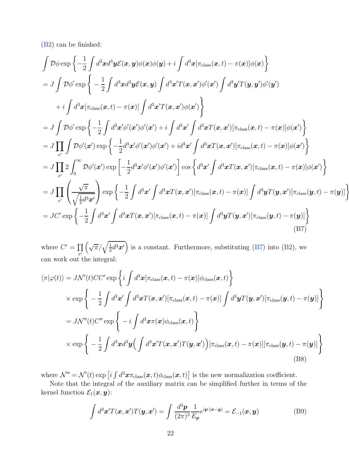[\(B2\)](#page-20-0) can be finished:

<span id="page-21-0"></span>
$$
\int \mathcal{D}\phi \exp\left\{-\frac{1}{2}\int d^3x d^3y \mathcal{E}(x, y)\phi(x)\phi(y) + i \int d^3x [\pi_{\text{class}}(x, t) - \pi(x)]\phi(x)\right\}
$$
\n
$$
= J \int \mathcal{D}\phi' \exp\left\{-\frac{1}{2}\int d^3x d^3y \mathcal{E}(x, y) \int d^3x' T(x, x')\phi'(x') \int d^3y' T(y, y')\phi'(y')\right\}
$$
\n
$$
+ i \int d^3x [\pi_{\text{class}}(x, t) - \pi(x)] \int d^3x' T(x, x')\phi(x')\right\}
$$
\n
$$
= J \int \mathcal{D}\phi' \exp\left\{-\frac{1}{2}\int d^3x' \phi'(x')\phi'(x') + i \int d^3x' \int d^3x T(x, x') [\pi_{\text{class}}(x, t) - \pi(x)]\phi(x')\right\}
$$
\n
$$
= J \prod_{x'} \int \mathcal{D}\phi'(x') \exp\left\{-\frac{1}{2}d^3x' \phi'(x')\phi'(x') + id^3x' \int d^3x T(x, x') [\pi_{\text{class}}(x, t) - \pi(x)]\phi(x')\right\}
$$
\n
$$
= J \prod_{x'} 2 \int_0^\infty \mathcal{D}\phi'(x') \exp\left[-\frac{1}{2}d^3x' \phi'(x')\phi'(x')\right] \cos\left\{d^3x' \int d^3x T(x, x') [\pi_{\text{class}}(x, t) - \pi(x)]\phi(x')\right\}
$$
\n
$$
= J \prod_{x'} \left(\frac{\sqrt{\pi}}{\sqrt{\frac{1}{2}d^3x'}}\right) \exp\left\{-\frac{1}{2}\int d^3x' \int d^3x T(x, x') [\pi_{\text{class}}(x, t) - \pi(x)] \int d^3y T(y, x') [\pi_{\text{class}}(y, t) - \pi(y)]\right\}
$$
\n
$$
= JC' \exp\left\{-\frac{1}{2}\int d^3x' \int d^3x T(x, x') [\pi_{\text{class}}(x, t) - \pi(x)] \int d^3y T(y, x') [\pi_{\text{class}}(y, t) - \pi(y)]\right\}
$$
\n(B7)

where  $C' = \prod$  $\bar{x}$ <sup> $\bar{y}$ </sup>  $\left(\sqrt{\pi}/\sqrt{\frac{1}{2}}\right)$  $\frac{1}{2}d^3x'$  is a constant. Furthermore, substituting [\(B7\)](#page-21-0) into [\(B2\)](#page-20-0), we can work out the integral:

$$
\langle \pi | \varphi(t) \rangle = J \mathcal{N}'(t) C C' \exp \left\{ i \int d^3 \mathbf{x} [\pi_{\text{class}}(\mathbf{x}, t) - \pi(\mathbf{x})] \phi_{\text{class}}(\mathbf{x}, t) \right\} \times \exp \left\{ -\frac{1}{2} \int d^3 \mathbf{x}' \int d^3 \mathbf{x} T(\mathbf{x}, \mathbf{x}') [\pi_{\text{class}}(\mathbf{x}, t) - \pi(\mathbf{x})] \int d^3 \mathbf{y} T(\mathbf{y}, \mathbf{x}') [\pi_{\text{class}}(\mathbf{y}, t) - \pi(\mathbf{y})] \right\} = J \mathcal{N}''(t) C'' \exp \left\{ -i \int d^3 \mathbf{x} \pi(\mathbf{x}) \phi_{\text{class}}(\mathbf{x}, t) \right\} \times \exp \left\{ -\frac{1}{2} \int d^3 \mathbf{x} d^3 \mathbf{y} \Big( \int d^3 \mathbf{x}' T(\mathbf{x}, \mathbf{x}') T(\mathbf{y}, \mathbf{x}') \Big) [\pi_{\text{class}}(\mathbf{x}, t) - \pi(\mathbf{x})] [\pi_{\text{class}}(\mathbf{y}, t) - \pi(\mathbf{y})] \right\}
$$
(B8)

where  $\mathcal{N}'' = \mathcal{N}'(t) \exp \left[i \int d^3 x \pi_{\text{class}}(\boldsymbol{x}, t) \phi_{\text{class}}(\boldsymbol{x}, t)\right]$  is the new normalization coefficient.

Note that the integral of the auxiliary matrix can be simplified further in terms of the kernel function  $\mathcal{E}_1(\boldsymbol{x}, \boldsymbol{y})$ :

$$
\int d^3 \mathbf{x}' T(\mathbf{x}, \mathbf{x}') T(\mathbf{y}, \mathbf{x}') = \int \frac{d^3 \mathbf{p}}{(2\pi)^3} \frac{1}{E_{\mathbf{p}}} e^{i \mathbf{p} \cdot (\mathbf{x} - \mathbf{y})} = \mathcal{E}_{-1}(\mathbf{x}, \mathbf{y})
$$
(B9)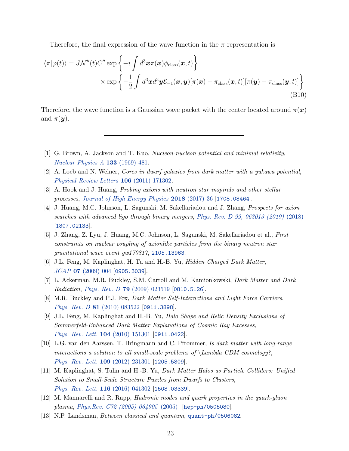Therefore, the final expression of the wave function in the  $\pi$  representation is

$$
\langle \pi | \varphi(t) \rangle = J \mathcal{N}''(t) C'' \exp \left\{ -i \int d^3 \boldsymbol{x} \pi(\boldsymbol{x}) \phi_{\text{class}}(\boldsymbol{x}, t) \right\} \times \exp \left\{ -\frac{1}{2} \int d^3 \boldsymbol{x} d^3 \boldsymbol{y} \mathcal{E}_{-1}(\boldsymbol{x}, \boldsymbol{y}) [\pi(\boldsymbol{x}) - \pi_{\text{class}}(\boldsymbol{x}, t)][\pi(\boldsymbol{y}) - \pi_{\text{class}}(\boldsymbol{y}, t)] \right\}
$$
\n(B10)

Therefore, the wave function is a Gaussian wave packet with the center located around  $\pi(\boldsymbol{x})$ and  $\pi(\mathbf{y})$ .

- <span id="page-22-0"></span>[1] G. Brown, A. Jackson and T. Kuo, Nucleon-nucleon potential and minimal relativity, [Nuclear Physics A](https://doi.org/10.1016/0375-9474(69)90549-1) 133 (1969) 481.
- <span id="page-22-1"></span>[2] A. Loeb and N. Weiner, Cores in dwarf galaxies from dark matter with a yukawa potential, [Physical Review Letters](https://doi.org/10.1103/physrevlett.106.171302) 106 (2011) 171302.
- <span id="page-22-2"></span>[3] A. Hook and J. Huang, Probing axions with neutron star inspirals and other stellar processes, [Journal of High Energy Physics](https://doi.org/10.1007/JHEP06(2018)036) 2018 (2017) 36 [[1708.08464](https://arxiv.org/abs/1708.08464)].
- <span id="page-22-6"></span>[4] J. Huang, M.C. Johnson, L. Sagunski, M. Sakellariadou and J. Zhang, Prospects for axion searches with advanced ligo through binary mergers, [Phys. Rev. D 99, 063013 \(2019\)](https://doi.org/10.1103/PhysRevD.99.063013) (2018) [[1807.02133](https://arxiv.org/abs/1807.02133)].
- <span id="page-22-3"></span>[5] J. Zhang, Z. Lyu, J. Huang, M.C. Johnson, L. Sagunski, M. Sakellariadou et al., First constraints on nuclear coupling of axionlike particles from the binary neutron star gravitational wave event gw170817, [2105.13963](https://arxiv.org/abs/2105.13963).
- <span id="page-22-4"></span>[6] J.L. Feng, M. Kaplinghat, H. Tu and H.-B. Yu, Hidden Charged Dark Matter, JCAP 07 [\(2009\) 004](https://doi.org/10.1088/1475-7516/2009/07/004) [[0905.3039](https://arxiv.org/abs/0905.3039)].
- [7] L. Ackerman, M.R. Buckley, S.M. Carroll and M. Kamionkowski, Dark Matter and Dark Radiation, Phys. Rev. D 79 [\(2009\) 023519](https://doi.org/10.1103/PhysRevD.79.023519) [[0810.5126](https://arxiv.org/abs/0810.5126)].
- [8] M.R. Buckley and P.J. Fox, Dark Matter Self-Interactions and Light Force Carriers, Phys. Rev. D 81 [\(2010\) 083522](https://doi.org/10.1103/PhysRevD.81.083522) [[0911.3898](https://arxiv.org/abs/0911.3898)].
- [9] J.L. Feng, M. Kaplinghat and H.-B. Yu, Halo Shape and Relic Density Exclusions of Sommerfeld-Enhanced Dark Matter Explanations of Cosmic Ray Excesses, [Phys. Rev. Lett.](https://doi.org/10.1103/PhysRevLett.104.151301) 104 (2010) 151301 [[0911.0422](https://arxiv.org/abs/0911.0422)].
- [10] L.G. van den Aarssen, T. Bringmann and C. Pfrommer, Is dark matter with long-range interactions a solution to all small-scale problems of  $\Lambda$  CDM cosmology?, [Phys. Rev. Lett.](https://doi.org/10.1103/PhysRevLett.109.231301) 109 (2012) 231301 [[1205.5809](https://arxiv.org/abs/1205.5809)].
- <span id="page-22-5"></span>[11] M. Kaplinghat, S. Tulin and H.-B. Yu, Dark Matter Halos as Particle Colliders: Unified Solution to Small-Scale Structure Puzzles from Dwarfs to Clusters, [Phys. Rev. Lett.](https://doi.org/10.1103/PhysRevLett.116.041302) 116 (2016) 041302 [[1508.03339](https://arxiv.org/abs/1508.03339)].
- <span id="page-22-7"></span>[12] M. Mannarelli and R. Rapp, Hadronic modes and quark properties in the quark-gluon plasma, [Phys.Rev. C72 \(2005\) 064905](https://doi.org/10.1103/PhysRevC.72.064905) (2005) [[hep-ph/0505080](https://arxiv.org/abs/hep-ph/0505080)].
- <span id="page-22-8"></span>[13] N.P. Landsman, Between classical and quantum, [quant-ph/0506082](https://arxiv.org/abs/quant-ph/0506082).